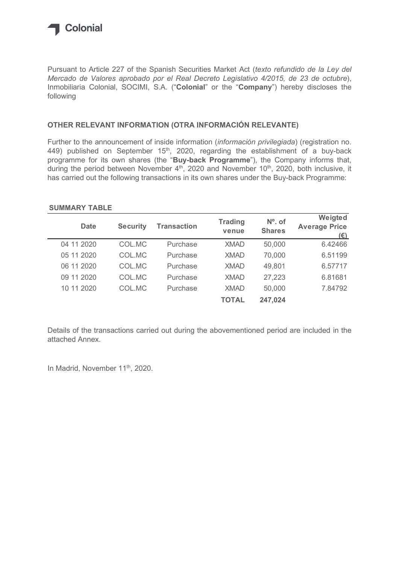

## OTHER RELEVANT INFORMATION (OTRA INFORMACIÓN RELEVANTE)

### SUMMARY TABLE

| <b>SUMMARY TABLE</b>                                                                                                                                                                                                                                                                   |                  |                                                                                                         |                            | has carried out the following transactions in its own shares under the Buy-back Programme: |
|----------------------------------------------------------------------------------------------------------------------------------------------------------------------------------------------------------------------------------------------------------------------------------------|------------------|---------------------------------------------------------------------------------------------------------|----------------------------|--------------------------------------------------------------------------------------------|
|                                                                                                                                                                                                                                                                                        |                  |                                                                                                         |                            |                                                                                            |
| <b>Date</b>                                                                                                                                                                                                                                                                            | <b>Security</b>  | <b>Transaction</b>                                                                                      | <b>Trading</b><br>venue    | $No$ . of<br><b>Shares</b>                                                                 |
| 04 11 2020                                                                                                                                                                                                                                                                             | COL.MC           | Purchase                                                                                                | <b>XMAD</b>                | 50,000                                                                                     |
| 05 11 2020                                                                                                                                                                                                                                                                             | COL.MC           | Purchase                                                                                                | <b>XMAD</b>                | 70,000                                                                                     |
| 06 11 2020                                                                                                                                                                                                                                                                             | COL.MC           | Purchase                                                                                                | <b>XMAD</b>                |                                                                                            |
|                                                                                                                                                                                                                                                                                        |                  |                                                                                                         |                            | 49,801                                                                                     |
| 09 11 2020<br>10 11 2020                                                                                                                                                                                                                                                               | COL.MC<br>COL.MC | Purchase<br>Purchase                                                                                    | <b>XMAD</b><br><b>XMAD</b> | 27,223<br>50,000                                                                           |
|                                                                                                                                                                                                                                                                                        |                  |                                                                                                         |                            |                                                                                            |
| 449) published on September 15 <sup>th</sup> , 2020, regarding the establishment of a buy-back<br>programme for its own shares (the "Buy-back Programme"), the Company informs that,<br>during the period between November $4th$ , 2020 and November $10th$ , 2020, both inclusive, it |                  |                                                                                                         |                            |                                                                                            |
|                                                                                                                                                                                                                                                                                        |                  | Further to the announcement of inside information ( <i>información privilegiada</i> ) (registration no. |                            |                                                                                            |

Details of the transactions carried out during the abovementioned period are included in the attached Annex.

In Madrid, November 11<sup>th</sup>, 2020.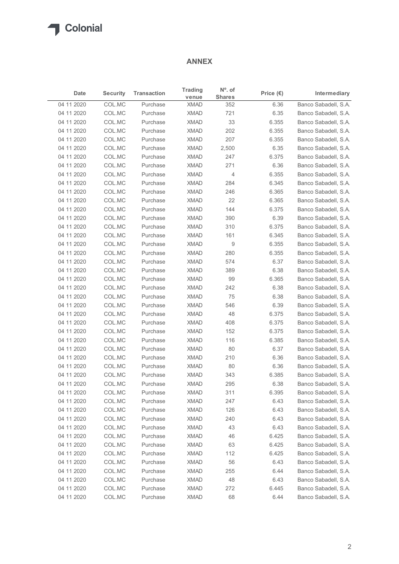## ANNEX

|                          |                  |                      | <b>ANNEX</b>               |                                   |                    |                                              |
|--------------------------|------------------|----------------------|----------------------------|-----------------------------------|--------------------|----------------------------------------------|
| Date                     | <b>Security</b>  | <b>Transaction</b>   | <b>Trading</b><br>venue    | $N^{\circ}$ . of<br><b>Shares</b> | Price $(\epsilon)$ | Intermediary                                 |
| 04 11 2020               | COL.MC           | Purchase             | <b>XMAD</b>                | 352                               | 6.36               | Banco Sabadell, S.A.                         |
| 04 11 2020               | COL.MC           | Purchase             | <b>XMAD</b>                | 721                               | 6.35               | Banco Sabadell, S.A.                         |
| 04 11 2020               | COL.MC           | Purchase             | <b>XMAD</b>                | 33                                | 6.355              | Banco Sabadell, S.A.                         |
| 04 11 2020               | COL.MC           | Purchase             | <b>XMAD</b>                | 202                               | 6.355              | Banco Sabadell, S.A.                         |
| 04 11 2020               | COL.MC           | Purchase             | <b>XMAD</b>                | 207                               | 6.355              | Banco Sabadell, S.A.                         |
| 04 11 2020               | COL.MC           | Purchase             | <b>XMAD</b>                | 2,500                             | 6.35               | Banco Sabadell, S.A.                         |
| 04 11 2020<br>04 11 2020 | COL.MC<br>COL.MC | Purchase<br>Purchase | <b>XMAD</b><br><b>XMAD</b> | 247<br>271                        | 6.375<br>6.36      | Banco Sabadell, S.A.<br>Banco Sabadell, S.A. |
| 04 11 2020               | COL.MC           | Purchase             | <b>XMAD</b>                | 4                                 | 6.355              | Banco Sabadell, S.A.                         |
| 04 11 2020               | COL.MC           | Purchase             | <b>XMAD</b>                | 284                               | 6.345              | Banco Sabadell, S.A.                         |
| 04 11 2020               | COL.MC           | Purchase             | <b>XMAD</b>                | 246                               | 6.365              | Banco Sabadell, S.A.                         |
| 04 11 2020               | COL.MC           | Purchase             | <b>XMAD</b>                | 22                                | 6.365              | Banco Sabadell, S.A.                         |
| 04 11 2020               | COL.MC           | Purchase             | <b>XMAD</b>                | 144                               | 6.375              | Banco Sabadell, S.A.                         |
| 04 11 2020               | COL.MC           | Purchase             | XMAD                       | 390                               | 6.39               | Banco Sabadell, S.A.                         |
| 04 11 2020               | COL.MC           | Purchase             | <b>XMAD</b>                | 310                               | 6.375              | Banco Sabadell, S.A.                         |
| 04 11 2020               | COL.MC           | Purchase             | <b>XMAD</b>                | 161                               | 6.345              | Banco Sabadell, S.A.                         |
| 04 11 2020               | COL.MC           | Purchase             | <b>XMAD</b>                | 9                                 | 6.355              | Banco Sabadell, S.A.                         |
| 04 11 2020               | COL.MC           | Purchase             | <b>XMAD</b>                | 280                               | 6.355              | Banco Sabadell, S.A.                         |
| 04 11 2020               | COL.MC           | Purchase             | <b>XMAD</b>                | 574                               | 6.37               | Banco Sabadell, S.A.                         |
| 04 11 2020               | COL.MC           | Purchase             | <b>XMAD</b>                | 389                               | 6.38               | Banco Sabadell, S.A.                         |
| 04 11 2020               | COL.MC           | Purchase             | <b>XMAD</b>                | 99                                | 6.365              | Banco Sabadell, S.A.                         |
| 04 11 2020               | COL.MC           | Purchase             | <b>XMAD</b>                | 242                               | 6.38               | Banco Sabadell, S.A.                         |
| 04 11 2020               | COL.MC           | Purchase             | <b>XMAD</b>                | 75                                | 6.38               | Banco Sabadell, S.A.                         |
| 04 11 2020               | COL.MC           | Purchase             | <b>XMAD</b>                | 546                               | 6.39               | Banco Sabadell, S.A.                         |
| 04 11 2020               | COL.MC           | Purchase             | <b>XMAD</b>                | 48                                | 6.375              | Banco Sabadell, S.A.                         |
| 04 11 2020               | COL.MC           | Purchase             | <b>XMAD</b>                | 408                               | 6.375              | Banco Sabadell, S.A.                         |
| 04 11 2020               | COL.MC           | Purchase             | <b>XMAD</b>                | 152                               | 6.375              | Banco Sabadell, S.A.                         |
| 04 11 2020               | COL.MC           | Purchase             | <b>XMAD</b>                | 116                               | 6.385              | Banco Sabadell, S.A.                         |
| 04 11 2020               | COL.MC           | Purchase<br>Purchase | <b>XMAD</b><br><b>XMAD</b> | 80                                | 6.37<br>6.36       | Banco Sabadell, S.A.<br>Banco Sabadell, S.A. |
| 04 11 2020<br>04 11 2020 | COL.MC<br>COL.MC | Purchase             | <b>XMAD</b>                | 210<br>80                         | 6.36               | Banco Sabadell, S.A.                         |
| 04 11 2020               | COL.MC           | Purchase             | <b>XMAD</b>                | 343                               | 6.385              | Banco Sabadell, S.A.                         |
| 04 11 2020               | COL.MC           | Purchase             | <b>XMAD</b>                | 295                               | 6.38               | Banco Sabadell, S.A.                         |
| 04 11 2020               | COL.MC           | Purchase             | <b>XMAD</b>                | 311                               | 6.395              | Banco Sabadell, S.A.                         |
| 04 11 2020               | COL.MC           | Purchase             | <b>XMAD</b>                | 247                               | 6.43               | Banco Sabadell, S.A.                         |
| 04 11 2020               | COL.MC           | Purchase             | <b>XMAD</b>                | 126                               | 6.43               | Banco Sabadell, S.A.                         |
| 04 11 2020               | COL.MC           | Purchase             | <b>XMAD</b>                | 240                               | 6.43               | Banco Sabadell, S.A.                         |
| 04 11 2020               | COL.MC           | Purchase             | <b>XMAD</b>                | 43                                | 6.43               | Banco Sabadell, S.A.                         |
| 04 11 2020               | COL.MC           | Purchase             | <b>XMAD</b>                | 46                                | 6.425              | Banco Sabadell, S.A.                         |
| 04 11 2020               | COL.MC           | Purchase             | <b>XMAD</b>                | 63                                | 6.425              | Banco Sabadell, S.A.                         |
| 04 11 2020               | COL.MC           | Purchase             | <b>XMAD</b>                | 112                               | 6.425              | Banco Sabadell, S.A.                         |
| 04 11 2020               | COL.MC           | Purchase             | <b>XMAD</b>                | 56                                | 6.43               | Banco Sabadell, S.A.                         |
| 04 11 2020               | COL.MC           | Purchase             | <b>XMAD</b>                | 255                               | 6.44               | Banco Sabadell, S.A.                         |
| 04 11 2020               | COL.MC           | Purchase             | <b>XMAD</b>                | 48                                | 6.43               | Banco Sabadell, S.A.                         |
| 04 11 2020               | COL.MC           | Purchase             | <b>XMAD</b>                | 272                               | 6.445              | Banco Sabadell, S.A.                         |
| 04 11 2020               | COL.MC           | Purchase             | <b>XMAD</b>                | 68                                | 6.44               | Banco Sabadell, S.A.                         |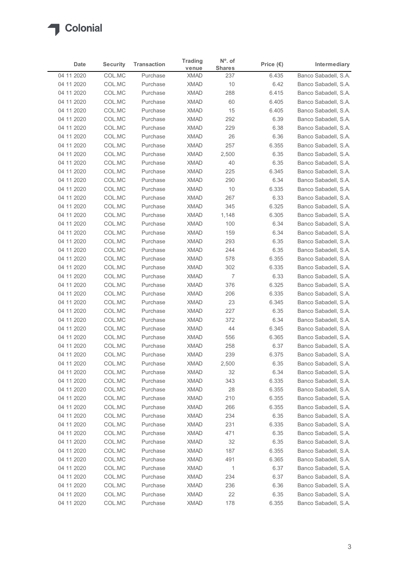

| Date                     | <b>Security</b>  | <b>Transaction</b>   | <b>Trading</b>             | $N^{\circ}$ . of     | Price $(\epsilon)$ | Intermediary                                 |
|--------------------------|------------------|----------------------|----------------------------|----------------------|--------------------|----------------------------------------------|
| 04 11 2020               | COL.MC           | Purchase             | venue<br><b>XMAD</b>       | <b>Shares</b><br>237 | 6.435              | Banco Sabadell, S.A.                         |
| 04 11 2020               | COL.MC           | Purchase             | <b>XMAD</b>                | 10                   | 6.42               | Banco Sabadell, S.A.                         |
| 04 11 2020               | COL.MC           | Purchase             | <b>XMAD</b>                | 288                  | 6.415              | Banco Sabadell, S.A.                         |
| 04 11 2020               | COL.MC           | Purchase             | <b>XMAD</b>                | 60                   | 6.405              | Banco Sabadell, S.A.                         |
| 04 11 2020               | COL.MC           | Purchase             | <b>XMAD</b>                | 15                   | 6.405              | Banco Sabadell, S.A.                         |
| 04 11 2020<br>04 11 2020 | COL.MC<br>COL.MC | Purchase<br>Purchase | <b>XMAD</b><br><b>XMAD</b> | 292<br>229           | 6.39               | Banco Sabadell, S.A.<br>Banco Sabadell, S.A. |
| 04 11 2020               | COL.MC           | Purchase             | <b>XMAD</b>                | 26                   | 6.38<br>6.36       | Banco Sabadell, S.A.                         |
| 04 11 2020               | COL.MC           | Purchase             | <b>XMAD</b>                | 257                  | 6.355              | Banco Sabadell, S.A.                         |
| 04 11 2020               | COL.MC           | Purchase             | <b>XMAD</b>                | 2,500                | 6.35               | Banco Sabadell, S.A.                         |
| 04 11 2020               | COL.MC           | Purchase             | <b>XMAD</b>                | 40                   | 6.35               | Banco Sabadell, S.A.                         |
| 04 11 2020               | COL.MC           | Purchase             | <b>XMAD</b>                | 225                  | 6.345              | Banco Sabadell, S.A.                         |
| 04 11 2020<br>04 11 2020 | COL.MC<br>COL.MC | Purchase<br>Purchase | <b>XMAD</b><br>XMAD        | 290<br>10            | 6.34<br>6.335      | Banco Sabadell, S.A.<br>Banco Sabadell, S.A. |
| 04 11 2020               | COL.MC           | Purchase             | XMAD                       | 267                  | 6.33               | Banco Sabadell, S.A.                         |
| 04 11 2020               | COL.MC           | Purchase             | XMAD                       | 345                  | 6.325              | Banco Sabadell, S.A.                         |
| 04 11 2020               | COL.MC           | Purchase             | XMAD                       | 1,148                | 6.305              | Banco Sabadell, S.A.                         |
| 04 11 2020               | COL.MC           | Purchase             | <b>XMAD</b>                | 100                  | 6.34               | Banco Sabadell, S.A.                         |
| 04 11 2020               | COL.MC           | Purchase             | <b>XMAD</b>                | 159                  | 6.34               | Banco Sabadell, S.A.                         |
| 04 11 2020<br>04 11 2020 | COL.MC<br>COL.MC | Purchase<br>Purchase | <b>XMAD</b><br><b>XMAD</b> | 293<br>244           | 6.35<br>6.35       | Banco Sabadell, S.A.<br>Banco Sabadell, S.A. |
| 04 11 2020               | COL.MC           | Purchase             | XMAD                       | 578                  | 6.355              | Banco Sabadell, S.A.                         |
| 04 11 2020               | COL.MC           | Purchase             | XMAD                       | 302                  | 6.335              | Banco Sabadell, S.A.                         |
| 04 11 2020               | COL.MC           | Purchase             | XMAD                       | 7                    | 6.33               | Banco Sabadell, S.A.                         |
| 04 11 2020               | COL.MC           | Purchase             | <b>XMAD</b>                | 376                  | 6.325              | Banco Sabadell, S.A.                         |
| 04 11 2020               | COL.MC           | Purchase             | <b>XMAD</b>                | 206                  | 6.335              | Banco Sabadell, S.A.                         |
| 04 11 2020<br>04 11 2020 | COL.MC<br>COL.MC | Purchase<br>Purchase | XMAD<br><b>XMAD</b>        | 23<br>227            | 6.345<br>6.35      | Banco Sabadell, S.A.<br>Banco Sabadell, S.A. |
| 04 11 2020               | COL.MC           | Purchase             | XMAD                       | 372                  | 6.34               | Banco Sabadell, S.A.                         |
| 04 11 2020               | COL.MC           | Purchase             | <b>XMAD</b>                | 44                   | 6.345              | Banco Sabadell, S.A.                         |
| 04 11 2020               | COL.MC           | Purchase             | <b>XMAD</b>                | 556                  | 6.365              | Banco Sabadell, S.A.                         |
| 04 11 2020               | COL.MC           | Purchase             | <b>XMAD</b>                | 258                  | 6.37               | Banco Sabadell, S.A.                         |
| 04 11 2020               | COL.MC           | Purchase             | <b>XMAD</b>                | 239                  | 6.375              | Banco Sabadell, S.A.                         |
| 04 11 2020               | COL.MC           | Purchase             | <b>XMAD</b>                | 2,500                | 6.35               | Banco Sabadell, S.A.                         |
| 04 11 2020               | COL.MC           | Purchase<br>Purchase | XMAD<br><b>XMAD</b>        | 32                   | 6.34               | Banco Sabadell, S.A.                         |
| 04 11 2020<br>04 11 2020 | COL.MC<br>COL.MC | Purchase             | <b>XMAD</b>                | 343<br>28            | 6.335<br>6.355     | Banco Sabadell, S.A.<br>Banco Sabadell, S.A. |
| 04 11 2020               | COL.MC           | Purchase             | <b>XMAD</b>                | 210                  | 6.355              | Banco Sabadell, S.A.                         |
| 04 11 2020               | COL.MC           | Purchase             | XMAD                       | 266                  | 6.355              | Banco Sabadell, S.A.                         |
| 04 11 2020               | COL.MC           | Purchase             | <b>XMAD</b>                | 234                  | 6.35               | Banco Sabadell, S.A.                         |
| 04 11 2020               | COL.MC           | Purchase             | <b>XMAD</b>                | 231                  | 6.335              | Banco Sabadell, S.A.                         |
| 04 11 2020               | COL.MC           | Purchase             | <b>XMAD</b>                | 471                  | 6.35               | Banco Sabadell, S.A.                         |
| 04 11 2020               | COL.MC           | Purchase             | <b>XMAD</b><br><b>XMAD</b> | 32<br>187            | 6.35<br>6.355      | Banco Sabadell, S.A.<br>Banco Sabadell, S.A. |
| 04 11 2020<br>04 11 2020 | COL.MC<br>COL.MC | Purchase<br>Purchase | XMAD                       | 491                  | 6.365              | Banco Sabadell, S.A.                         |
| 04 11 2020               | COL.MC           | Purchase             | XMAD                       | $\overline{1}$       | 6.37               | Banco Sabadell, S.A.                         |
| 04 11 2020               | COL.MC           | Purchase             | <b>XMAD</b>                | 234                  | 6.37               | Banco Sabadell, S.A.                         |
| 04 11 2020               | COL.MC           | Purchase             | <b>XMAD</b>                | 236                  | 6.36               | Banco Sabadell, S.A.                         |
| 04 11 2020               | COL.MC           | Purchase             | <b>XMAD</b>                | 22                   | 6.35               | Banco Sabadell, S.A.                         |
| 04 11 2020               | COL.MC           | Purchase             | <b>XMAD</b>                | 178                  | 6.355              | Banco Sabadell, S.A.                         |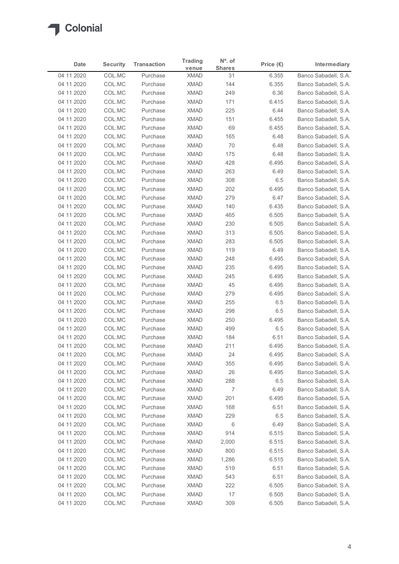

| Date                     | <b>Security</b>  | <b>Transaction</b>   | <b>Trading</b>             | $N^{\circ}$ . of    | Price $(\epsilon)$ | Intermediary                                 |
|--------------------------|------------------|----------------------|----------------------------|---------------------|--------------------|----------------------------------------------|
| 04 11 2020               | COL.MC           | Purchase             | venue<br><b>XMAD</b>       | <b>Shares</b><br>31 | 6.355              | Banco Sabadell, S.A.                         |
| 04 11 2020               | COL.MC           | Purchase             | <b>XMAD</b>                | 144                 | 6.355              | Banco Sabadell, S.A.                         |
| 04 11 2020               | COL.MC           | Purchase             | <b>XMAD</b>                | 249                 | 6.36               | Banco Sabadell, S.A.                         |
| 04 11 2020               | COL.MC           | Purchase             | <b>XMAD</b>                | 171                 | 6.415              | Banco Sabadell, S.A.                         |
| 04 11 2020               | COL.MC           | Purchase             | <b>XMAD</b>                | 225                 | 6.44               | Banco Sabadell, S.A.                         |
| 04 11 2020               | COL.MC           | Purchase             | <b>XMAD</b>                | 151                 | 6.455              | Banco Sabadell, S.A.                         |
| 04 11 2020<br>04 11 2020 | COL.MC<br>COL.MC | Purchase<br>Purchase | <b>XMAD</b><br><b>XMAD</b> | 69<br>165           | 6.455<br>6.48      | Banco Sabadell, S.A.<br>Banco Sabadell, S.A. |
| 04 11 2020               | COL.MC           | Purchase             | <b>XMAD</b>                | 70                  | 6.48               | Banco Sabadell, S.A.                         |
| 04 11 2020               | COL.MC           | Purchase             | <b>XMAD</b>                | 175                 | 6.48               | Banco Sabadell, S.A.                         |
| 04 11 2020               | COL.MC           | Purchase             | <b>XMAD</b>                | 428                 | 6.495              | Banco Sabadell, S.A.                         |
| 04 11 2020               | COL.MC           | Purchase             | <b>XMAD</b>                | 263                 | 6.49               | Banco Sabadell, S.A.                         |
| 04 11 2020               | COL.MC           | Purchase             | <b>XMAD</b>                | 308                 | 6.5                | Banco Sabadell, S.A.                         |
| 04 11 2020               | COL.MC           | Purchase             | XMAD                       | 202                 | 6.495              | Banco Sabadell, S.A.                         |
| 04 11 2020               | COL.MC           | Purchase             | XMAD                       | 279                 | 6.47               | Banco Sabadell, S.A.                         |
| 04 11 2020<br>04 11 2020 | COL.MC<br>COL.MC | Purchase<br>Purchase | XMAD<br><b>XMAD</b>        | 140<br>465          | 6.435<br>6.505     | Banco Sabadell, S.A.<br>Banco Sabadell, S.A. |
| 04 11 2020               | COL.MC           | Purchase             | <b>XMAD</b>                | 230                 | 6.505              | Banco Sabadell, S.A.                         |
| 04 11 2020               | COL.MC           | Purchase             | <b>XMAD</b>                | 313                 | 6.505              | Banco Sabadell, S.A.                         |
| 04 11 2020               | COL.MC           | Purchase             | <b>XMAD</b>                | 283                 | 6.505              | Banco Sabadell, S.A.                         |
| 04 11 2020               | COL.MC           | Purchase             | <b>XMAD</b>                | 119                 | 6.49               | Banco Sabadell, S.A.                         |
| 04 11 2020               | COL.MC           | Purchase             | XMAD                       | 248                 | 6.495              | Banco Sabadell, S.A.                         |
| 04 11 2020               | COL.MC           | Purchase             | XMAD                       | 235                 | 6.495              | Banco Sabadell, S.A.                         |
| 04 11 2020               | COL.MC           | Purchase             | XMAD                       | 245                 | 6.495              | Banco Sabadell, S.A.                         |
| 04 11 2020               | COL.MC           | Purchase             | XMAD                       | 45                  | 6.495              | Banco Sabadell, S.A.                         |
| 04 11 2020<br>04 11 2020 | COL.MC<br>COL.MC | Purchase<br>Purchase | XMAD<br>XMAD               | 279<br>255          | 6.495<br>6.5       | Banco Sabadell, S.A.<br>Banco Sabadell, S.A. |
| 04 11 2020               | COL.MC           | Purchase             | <b>XMAD</b>                | 298                 | 6.5                | Banco Sabadell, S.A.                         |
| 04 11 2020               | COL.MC           | Purchase             | XMAD                       | 250                 | 6.495              | Banco Sabadell, S.A.                         |
| 04 11 2020               | COL.MC           | Purchase             | <b>XMAD</b>                | 499                 | 6.5                | Banco Sabadell, S.A.                         |
| 04 11 2020               | COL.MC           | Purchase             | <b>XMAD</b>                | 184                 | 6.51               | Banco Sabadell, S.A.                         |
| 04 11 2020               | COL.MC           | Purchase             | <b>XMAD</b>                | 211                 | 6.495              | Banco Sabadell, S.A.                         |
| 04 11 2020               | COL.MC           | Purchase             | <b>XMAD</b>                | 24                  | 6.495              | Banco Sabadell, S.A.                         |
| 04 11 2020               | COL.MC           | Purchase             | <b>XMAD</b>                | 355                 | 6.495              | Banco Sabadell, S.A.                         |
| 04 11 2020               | COL.MC           | Purchase<br>Purchase | XMAD<br><b>XMAD</b>        | 26                  | 6.495              | Banco Sabadell, S.A.                         |
| 04 11 2020<br>04 11 2020 | COL.MC<br>COL.MC | Purchase             | <b>XMAD</b>                | 288<br>7            | 6.5<br>6.49        | Banco Sabadell, S.A.<br>Banco Sabadell, S.A. |
| 04 11 2020               | COL.MC           | Purchase             | <b>XMAD</b>                | 201                 | 6.495              | Banco Sabadell, S.A.                         |
| 04 11 2020               | COL.MC           | Purchase             | XMAD                       | 168                 | 6.51               | Banco Sabadell, S.A.                         |
| 04 11 2020               | COL.MC           | Purchase             | <b>XMAD</b>                | 229                 | 6.5                | Banco Sabadell, S.A.                         |
| 04 11 2020               | COL.MC           | Purchase             | <b>XMAD</b>                | 6                   | 6.49               | Banco Sabadell, S.A.                         |
| 04 11 2020               | COL.MC           | Purchase             | <b>XMAD</b>                | 914                 | 6.515              | Banco Sabadell, S.A.                         |
| 04 11 2020               | COL.MC           | Purchase             | <b>XMAD</b>                | 2,000               | 6.515              | Banco Sabadell, S.A.                         |
| 04 11 2020               | COL.MC           | Purchase             | <b>XMAD</b>                | 800                 | 6.515              | Banco Sabadell, S.A.                         |
| 04 11 2020               | COL.MC           | Purchase             | XMAD                       | 1,286               | 6.515              | Banco Sabadell, S.A.                         |
| 04 11 2020<br>04 11 2020 | COL.MC<br>COL.MC | Purchase<br>Purchase | XMAD<br><b>XMAD</b>        | 519<br>543          | 6.51<br>6.51       | Banco Sabadell, S.A.<br>Banco Sabadell, S.A. |
| 04 11 2020               | COL.MC           | Purchase             | <b>XMAD</b>                | 222                 | 6.505              | Banco Sabadell, S.A.                         |
|                          | COL.MC           | Purchase             | <b>XMAD</b>                | $17$                | 6.505              | Banco Sabadell, S.A.                         |
| 04 11 2020               | COL.MC           | Purchase             | <b>XMAD</b>                | 309                 | 6.505              | Banco Sabadell, S.A.                         |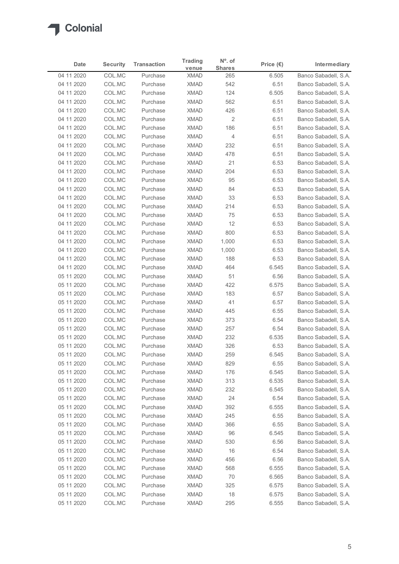

| Date                     | <b>Security</b>  | <b>Transaction</b>   | <b>Trading</b>             | $N^{\circ}$ . of     | Price $(\epsilon)$ | Intermediary                                 |
|--------------------------|------------------|----------------------|----------------------------|----------------------|--------------------|----------------------------------------------|
| 04 11 2020               | COL.MC           | Purchase             | venue<br><b>XMAD</b>       | <b>Shares</b><br>265 | 6.505              | Banco Sabadell, S.A.                         |
| 04 11 2020               | COL.MC           | Purchase             | <b>XMAD</b>                | 542                  | 6.51               | Banco Sabadell, S.A.                         |
| 04 11 2020               | COL.MC           | Purchase             | <b>XMAD</b>                | 124                  | 6.505              | Banco Sabadell, S.A.                         |
| 04 11 2020               | COL.MC           | Purchase             | <b>XMAD</b>                | 562                  | 6.51               | Banco Sabadell, S.A.                         |
| 04 11 2020               | COL.MC           | Purchase             | <b>XMAD</b>                | 426                  | 6.51               | Banco Sabadell, S.A.                         |
| 04 11 2020               | COL.MC           | Purchase             | <b>XMAD</b>                | $\overline{c}$       | 6.51               | Banco Sabadell, S.A.                         |
| 04 11 2020<br>04 11 2020 | COL.MC<br>COL.MC | Purchase<br>Purchase | <b>XMAD</b><br><b>XMAD</b> | 186<br>4             | 6.51<br>6.51       | Banco Sabadell, S.A.<br>Banco Sabadell, S.A. |
| 04 11 2020               | COL.MC           | Purchase             | <b>XMAD</b>                | 232                  | 6.51               | Banco Sabadell, S.A.                         |
| 04 11 2020               | COL.MC           | Purchase             | <b>XMAD</b>                | 478                  | 6.51               | Banco Sabadell, S.A.                         |
| 04 11 2020               | COL.MC           | Purchase             | <b>XMAD</b>                | 21                   | 6.53               | Banco Sabadell, S.A.                         |
| 04 11 2020               | COL.MC           | Purchase             | <b>XMAD</b>                | 204                  | 6.53               | Banco Sabadell, S.A.                         |
| 04 11 2020               | COL.MC           | Purchase             | <b>XMAD</b>                | 95                   | 6.53               | Banco Sabadell, S.A.                         |
| 04 11 2020               | COL.MC           | Purchase             | XMAD                       | 84                   | 6.53               | Banco Sabadell, S.A.                         |
| 04 11 2020               | COL.MC           | Purchase             | XMAD                       | 33                   | 6.53               | Banco Sabadell, S.A.                         |
| 04 11 2020<br>04 11 2020 | COL.MC<br>COL.MC | Purchase<br>Purchase | XMAD<br><b>XMAD</b>        | 214<br>75            | 6.53<br>6.53       | Banco Sabadell, S.A.<br>Banco Sabadell, S.A. |
| 04 11 2020               | COL.MC           | Purchase             | <b>XMAD</b>                | 12                   | 6.53               | Banco Sabadell, S.A.                         |
| 04 11 2020               | COL.MC           | Purchase             | <b>XMAD</b>                | 800                  | 6.53               | Banco Sabadell, S.A.                         |
| 04 11 2020               | COL.MC           | Purchase             | <b>XMAD</b>                | 1,000                | 6.53               | Banco Sabadell, S.A.                         |
| 04 11 2020               | COL.MC           | Purchase             | <b>XMAD</b>                | 1,000                | 6.53               | Banco Sabadell, S.A.                         |
| 04 11 2020               | COL.MC           | Purchase             | <b>XMAD</b>                | 188                  | 6.53               | Banco Sabadell, S.A.                         |
| 04 11 2020               | COL.MC           | Purchase             | XMAD                       | 464                  | 6.545              | Banco Sabadell, S.A.                         |
| 05 11 2020               | COL.MC           | Purchase             | XMAD                       | 51                   | 6.56               | Banco Sabadell, S.A.                         |
| 05 11 2020               | COL.MC           | Purchase             | <b>XMAD</b>                | 422                  | 6.575              | Banco Sabadell, S.A.                         |
| 05 11 2020<br>05 11 2020 | COL.MC<br>COL.MC | Purchase<br>Purchase | <b>XMAD</b><br>XMAD        | 183<br>41            | 6.57<br>6.57       | Banco Sabadell, S.A.<br>Banco Sabadell, S.A. |
| 05 11 2020               | COL.MC           | Purchase             | <b>XMAD</b>                | 445                  | 6.55               | Banco Sabadell, S.A.                         |
| 05 11 2020               | COL.MC           | Purchase             | XMAD                       | 373                  | 6.54               | Banco Sabadell, S.A.                         |
| 05 11 2020               | COL.MC           | Purchase             | <b>XMAD</b>                | 257                  | 6.54               | Banco Sabadell, S.A.                         |
| 05 11 2020               | COL.MC           | Purchase             | <b>XMAD</b>                | 232                  | 6.535              | Banco Sabadell, S.A.                         |
| 05 11 2020               | COL.MC           | Purchase             | <b>XMAD</b>                | 326                  | 6.53               | Banco Sabadell, S.A.                         |
| 05 11 2020               | COL.MC           | Purchase             | <b>XMAD</b>                | 259                  | 6.545              | Banco Sabadell, S.A.                         |
| 05 11 2020               | COL.MC           | Purchase             | <b>XMAD</b>                | 829                  | 6.55               | Banco Sabadell, S.A.                         |
| 05 11 2020               | COL.MC           | Purchase<br>Purchase | XMAD                       | 176                  | 6.545              | Banco Sabadell, S.A.                         |
| 05 11 2020<br>05 11 2020 | COL.MC<br>COL.MC | Purchase             | XMAD<br><b>XMAD</b>        | 313<br>232           | 6.535<br>6.545     | Banco Sabadell, S.A.<br>Banco Sabadell, S.A. |
| 05 11 2020               | COL.MC           | Purchase             | <b>XMAD</b>                | 24                   | 6.54               | Banco Sabadell, S.A.                         |
| 05 11 2020               | COL.MC           | Purchase             | XMAD                       | 392                  | 6.555              | Banco Sabadell, S.A.                         |
| 05 11 2020               | COL.MC           | Purchase             | <b>XMAD</b>                | 245                  | 6.55               | Banco Sabadell, S.A.                         |
| 05 11 2020               | COL.MC           | Purchase             | <b>XMAD</b>                | 366                  | 6.55               | Banco Sabadell, S.A.                         |
| 05 11 2020               | COL.MC           | Purchase             | <b>XMAD</b>                | 96                   | 6.545              | Banco Sabadell, S.A.                         |
| 05 11 2020               | COL.MC           | Purchase             | <b>XMAD</b>                | 530                  | 6.56               | Banco Sabadell, S.A.                         |
| 05 11 2020               | COL.MC           | Purchase             | <b>XMAD</b>                | 16                   | 6.54               | Banco Sabadell, S.A.                         |
| 05 11 2020               | COL.MC           | Purchase             | XMAD                       | 456                  | 6.56               | Banco Sabadell, S.A.                         |
| 05 11 2020<br>05 11 2020 | COL.MC<br>COL.MC | Purchase<br>Purchase | XMAD<br><b>XMAD</b>        | 568<br>70            | 6.555<br>6.565     | Banco Sabadell, S.A.<br>Banco Sabadell, S.A. |
| 05 11 2020               | COL.MC           | Purchase             | <b>XMAD</b>                | 325                  | 6.575              | Banco Sabadell, S.A.                         |
|                          | COL.MC           | Purchase             | <b>XMAD</b>                | 18                   | 6.575              | Banco Sabadell, S.A.                         |
| 05 11 2020               | COL.MC           | Purchase             | <b>XMAD</b>                | 295                  | 6.555              | Banco Sabadell, S.A.                         |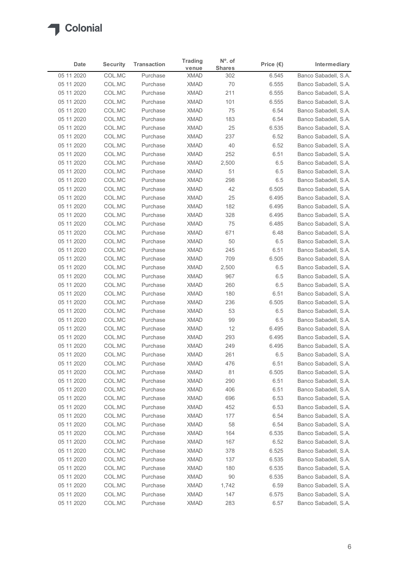# $\sqrt{2}$

| Date                     | <b>Security</b>  | <b>Transaction</b>   | <b>Trading</b>             | $No$ . of            | Price $(\epsilon)$ | Intermediary                                 |
|--------------------------|------------------|----------------------|----------------------------|----------------------|--------------------|----------------------------------------------|
| 05 11 2020               | COL.MC           | Purchase             | venue<br><b>XMAD</b>       | <b>Shares</b><br>302 | 6.545              | Banco Sabadell, S.A.                         |
| 05 11 2020               | COL.MC           | Purchase             | <b>XMAD</b>                | 70                   | 6.555              | Banco Sabadell, S.A.                         |
| 05 11 2020               | COL.MC           | Purchase             | <b>XMAD</b>                | 211                  | 6.555              | Banco Sabadell, S.A.                         |
| 05 11 2020               | COL.MC           | Purchase             | <b>XMAD</b>                | 101                  | 6.555              | Banco Sabadell, S.A.                         |
| 05 11 2020               | COL.MC           | Purchase             | <b>XMAD</b>                | 75                   | 6.54               | Banco Sabadell, S.A.                         |
| 05 11 2020               | COL.MC<br>COL.MC | Purchase<br>Purchase | <b>XMAD</b><br><b>XMAD</b> | 183<br>25            | 6.54               | Banco Sabadell, S.A.<br>Banco Sabadell, S.A. |
| 05 11 2020<br>05 11 2020 | COL.MC           | Purchase             | <b>XMAD</b>                | 237                  | 6.535<br>6.52      | Banco Sabadell, S.A.                         |
| 05 11 2020               | COL.MC           | Purchase             | <b>XMAD</b>                | 40                   | 6.52               | Banco Sabadell, S.A.                         |
| 05 11 2020               | COL.MC           | Purchase             | <b>XMAD</b>                | 252                  | 6.51               | Banco Sabadell, S.A.                         |
| 05 11 2020               | COL.MC           | Purchase             | <b>XMAD</b>                | 2,500                | 6.5                | Banco Sabadell, S.A.                         |
| 05 11 2020               | COL.MC           | Purchase             | <b>XMAD</b>                | 51                   | 6.5                | Banco Sabadell, S.A.                         |
| 05 11 2020               | COL.MC           | Purchase             | <b>XMAD</b>                | 298                  | 6.5                | Banco Sabadell, S.A.                         |
| 05 11 2020               | COL.MC           | Purchase             | XMAD                       | 42                   | 6.505              | Banco Sabadell, S.A.                         |
| 05 11 2020<br>05 11 2020 | COL.MC           | Purchase<br>Purchase | <b>XMAD</b><br><b>XMAD</b> | 25                   | 6.495<br>6.495     | Banco Sabadell, S.A.                         |
| 05 11 2020               | COL.MC<br>COL.MC | Purchase             | XMAD                       | 182<br>328           | 6.495              | Banco Sabadell, S.A.<br>Banco Sabadell, S.A. |
| 05 11 2020               | COL.MC           | Purchase             | <b>XMAD</b>                | 75                   | 6.485              | Banco Sabadell, S.A.                         |
| 05 11 2020               | COL.MC           | Purchase             | <b>XMAD</b>                | 671                  | 6.48               | Banco Sabadell, S.A.                         |
| 05 11 2020               | COL.MC           | Purchase             | <b>XMAD</b>                | 50                   | 6.5                | Banco Sabadell, S.A.                         |
| 05 11 2020               | COL.MC           | Purchase             | <b>XMAD</b>                | 245                  | 6.51               | Banco Sabadell, S.A.                         |
| 05 11 2020               | COL.MC           | Purchase             | <b>XMAD</b>                | 709                  | 6.505              | Banco Sabadell, S.A.                         |
| 05 11 2020               | COL.MC           | Purchase             | <b>XMAD</b>                | 2,500                | 6.5                | Banco Sabadell, S.A.                         |
| 05 11 2020               | COL.MC           | Purchase             | <b>XMAD</b>                | 967                  | 6.5                | Banco Sabadell, S.A.                         |
| 05 11 2020               | COL.MC           | Purchase             | <b>XMAD</b>                | 260                  | 6.5                | Banco Sabadell, S.A.                         |
| 05 11 2020<br>05 11 2020 | COL.MC<br>COL.MC | Purchase<br>Purchase | <b>XMAD</b><br><b>XMAD</b> | 180<br>236           | 6.51<br>6.505      | Banco Sabadell, S.A.<br>Banco Sabadell, S.A. |
| 05 11 2020               | COL.MC           | Purchase             | <b>XMAD</b>                | 53                   | 6.5                | Banco Sabadell, S.A.                         |
| 05 11 2020               | COL.MC           | Purchase             | <b>XMAD</b>                | 99                   | $6.5\,$            | Banco Sabadell, S.A.                         |
| 05 11 2020               | COL.MC           | Purchase             | <b>XMAD</b>                | 12                   | 6.495              | Banco Sabadell, S.A.                         |
| 05 11 2020               | COL.MC           | Purchase             | <b>XMAD</b>                | 293                  | 6.495              | Banco Sabadell, S.A.                         |
| 05 11 2020               | COL.MC           | Purchase             | <b>XMAD</b>                | 249                  | 6.495              | Banco Sabadell, S.A.                         |
| 05 11 2020               | COL.MC           | Purchase             | <b>XMAD</b>                | 261                  | 6.5                | Banco Sabadell, S.A.                         |
| 05 11 2020               | COL.MC           | Purchase             | <b>XMAD</b>                | 476                  | 6.51               | Banco Sabadell, S.A.                         |
| 05 11 2020               | COL.MC           | Purchase             | <b>XMAD</b>                | 81                   | 6.505              | Banco Sabadell, S.A.                         |
| 05 11 2020               | COL.MC           | Purchase             | <b>XMAD</b>                | 290                  | 6.51               | Banco Sabadell, S.A.                         |
| 05 11 2020<br>05 11 2020 | COL.MC<br>COL.MC | Purchase<br>Purchase | <b>XMAD</b><br><b>XMAD</b> | 406<br>696           | 6.51<br>6.53       | Banco Sabadell, S.A.<br>Banco Sabadell, S.A. |
| 05 11 2020               | COL.MC           | Purchase             | <b>XMAD</b>                | 452                  | 6.53               | Banco Sabadell, S.A.                         |
| 05 11 2020               | COL.MC           | Purchase             | <b>XMAD</b>                | 177                  | 6.54               | Banco Sabadell, S.A.                         |
| 05 11 2020               | COL.MC           | Purchase             | <b>XMAD</b>                | 58                   | 6.54               | Banco Sabadell, S.A.                         |
| 05 11 2020               | COL.MC           | Purchase             | <b>XMAD</b>                | 164                  | 6.535              | Banco Sabadell, S.A.                         |
| 05 11 2020               | COL.MC           | Purchase             | <b>XMAD</b>                | 167                  | 6.52               | Banco Sabadell, S.A.                         |
| 05 11 2020               | COL.MC           | Purchase             | <b>XMAD</b>                | 378                  | 6.525              | Banco Sabadell, S.A.                         |
| 05 11 2020               | COL.MC           | Purchase             | <b>XMAD</b>                | 137                  | 6.535              | Banco Sabadell, S.A.                         |
| 05 11 2020               | COL.MC           | Purchase             | <b>XMAD</b>                | 180                  | 6.535              | Banco Sabadell, S.A.                         |
| 05 11 2020<br>05 11 2020 | COL.MC<br>COL.MC | Purchase<br>Purchase | <b>XMAD</b><br><b>XMAD</b> | 90<br>1,742          | 6.535<br>6.59      | Banco Sabadell, S.A.<br>Banco Sabadell, S.A. |
|                          | COL.MC           | Purchase             | <b>XMAD</b>                | 147                  | 6.575              | Banco Sabadell, S.A.                         |
| 05 11 2020               |                  | Purchase             | <b>XMAD</b>                | 283                  | 6.57               | Banco Sabadell, S.A.                         |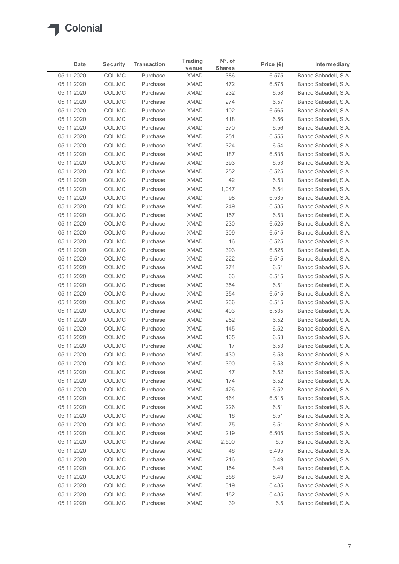| Date                     | <b>Security</b>  | <b>Transaction</b>   | <b>Trading</b>             | $N^{\circ}$ . of     | Price $(\epsilon)$ | Intermediary                                 |
|--------------------------|------------------|----------------------|----------------------------|----------------------|--------------------|----------------------------------------------|
| 05 11 2020               | COL.MC           | Purchase             | venue<br><b>XMAD</b>       | <b>Shares</b><br>386 | 6.575              | Banco Sabadell, S.A.                         |
| 05 11 2020               | COL.MC           | Purchase             | <b>XMAD</b>                | 472                  | 6.575              | Banco Sabadell, S.A.                         |
| 05 11 2020               | COL.MC           | Purchase             | <b>XMAD</b>                | 232                  | 6.58               | Banco Sabadell, S.A.                         |
| 05 11 2020               | COL.MC           | Purchase             | <b>XMAD</b>                | 274                  | 6.57               | Banco Sabadell, S.A.                         |
| 05 11 2020               | COL.MC           | Purchase             | <b>XMAD</b>                | 102                  | 6.565              | Banco Sabadell, S.A.                         |
| 05 11 2020               | COL.MC           | Purchase             | <b>XMAD</b>                | 418                  | 6.56               | Banco Sabadell, S.A.                         |
| 05 11 2020               | COL.MC           | Purchase             | <b>XMAD</b>                | 370                  | 6.56               | Banco Sabadell, S.A.                         |
| 05 11 2020<br>05 11 2020 | COL.MC<br>COL.MC | Purchase<br>Purchase | <b>XMAD</b><br><b>XMAD</b> | 251<br>324           | 6.555<br>6.54      | Banco Sabadell, S.A.<br>Banco Sabadell, S.A. |
| 05 11 2020               | COL.MC           | Purchase             | <b>XMAD</b>                | 187                  | 6.535              | Banco Sabadell, S.A.                         |
| 05 11 2020               | COL.MC           | Purchase             | <b>XMAD</b>                | 393                  | 6.53               | Banco Sabadell, S.A.                         |
| 05 11 2020               | COL.MC           | Purchase             | <b>XMAD</b>                | 252                  | 6.525              | Banco Sabadell, S.A.                         |
| 05 11 2020               | COL.MC           | Purchase             | <b>XMAD</b>                | 42                   | 6.53               | Banco Sabadell, S.A.                         |
| 05 11 2020               | COL.MC           | Purchase             | XMAD                       | 1,047                | 6.54               | Banco Sabadell, S.A.                         |
| 05 11 2020               | COL.MC           | Purchase             | XMAD                       | 98                   | 6.535              | Banco Sabadell, S.A.                         |
| 05 11 2020               | COL.MC           | Purchase             | XMAD                       | 249                  | 6.535              | Banco Sabadell, S.A.                         |
| 05 11 2020<br>05 11 2020 | COL.MC<br>COL.MC | Purchase<br>Purchase | <b>XMAD</b><br><b>XMAD</b> | 157<br>230           | 6.53               | Banco Sabadell, S.A.<br>Banco Sabadell, S.A. |
| 05 11 2020               | COL.MC           | Purchase             | <b>XMAD</b>                | 309                  | 6.525<br>6.515     | Banco Sabadell, S.A.                         |
| 05 11 2020               | COL.MC           | Purchase             | <b>XMAD</b>                | 16                   | 6.525              | Banco Sabadell, S.A.                         |
| 05 11 2020               | COL.MC           | Purchase             | <b>XMAD</b>                | 393                  | 6.525              | Banco Sabadell, S.A.                         |
| 05 11 2020               | COL.MC           | Purchase             | XMAD                       | 222                  | 6.515              | Banco Sabadell, S.A.                         |
| 05 11 2020               | COL.MC           | Purchase             | XMAD                       | 274                  | 6.51               | Banco Sabadell, S.A.                         |
| 05 11 2020               | COL.MC           | Purchase             | XMAD                       | 63                   | 6.515              | Banco Sabadell, S.A.                         |
| 05 11 2020               | COL.MC           | Purchase             | <b>XMAD</b>                | 354                  | 6.51               | Banco Sabadell, S.A.                         |
| 05 11 2020               | COL.MC           | Purchase             | XMAD                       | 354                  | 6.515              | Banco Sabadell, S.A.                         |
| 05 11 2020<br>05 11 2020 | COL.MC<br>COL.MC | Purchase<br>Purchase | XMAD<br><b>XMAD</b>        | 236<br>403           | 6.515<br>6.535     | Banco Sabadell, S.A.<br>Banco Sabadell, S.A. |
| 05 11 2020               | COL.MC           | Purchase             | XMAD                       | 252                  | 6.52               | Banco Sabadell, S.A.                         |
| 05 11 2020               | COL.MC           | Purchase             | <b>XMAD</b>                | 145                  | 6.52               | Banco Sabadell, S.A.                         |
| 05 11 2020               | COL.MC           | Purchase             | <b>XMAD</b>                | 165                  | 6.53               | Banco Sabadell, S.A.                         |
| 05 11 2020               | COL.MC           | Purchase             | <b>XMAD</b>                | 17                   | 6.53               | Banco Sabadell, S.A.                         |
| 05 11 2020               | COL.MC           | Purchase             | <b>XMAD</b>                | 430                  | 6.53               | Banco Sabadell, S.A.                         |
| 05 11 2020               | COL.MC           | Purchase             | <b>XMAD</b>                | 390                  | 6.53               | Banco Sabadell, S.A.                         |
| 05 11 2020               | COL.MC           | Purchase             | XMAD                       | 47                   | 6.52               | Banco Sabadell, S.A.                         |
| 05 11 2020               | COL.MC           | Purchase             | <b>XMAD</b>                | 174                  | 6.52               | Banco Sabadell, S.A.                         |
| 05 11 2020<br>05 11 2020 | COL.MC<br>COL.MC | Purchase<br>Purchase | <b>XMAD</b><br><b>XMAD</b> | 426<br>464           | 6.52<br>6.515      | Banco Sabadell, S.A.<br>Banco Sabadell, S.A. |
| 05 11 2020               | COL.MC           | Purchase             | XMAD                       | 226                  | 6.51               | Banco Sabadell, S.A.                         |
| 05 11 2020               | COL.MC           | Purchase             | <b>XMAD</b>                | 16                   | 6.51               | Banco Sabadell, S.A.                         |
| 05 11 2020               | COL.MC           | Purchase             | <b>XMAD</b>                | 75                   | 6.51               | Banco Sabadell, S.A.                         |
| 05 11 2020               | COL.MC           | Purchase             | <b>XMAD</b>                | 219                  | 6.505              | Banco Sabadell, S.A.                         |
| 05 11 2020               | COL.MC           | Purchase             | <b>XMAD</b>                | 2,500                | 6.5                | Banco Sabadell, S.A.                         |
| 05 11 2020               | COL.MC           | Purchase             | <b>XMAD</b>                | 46                   | 6.495              | Banco Sabadell, S.A.                         |
| 05 11 2020               | COL.MC           | Purchase             | XMAD                       | 216                  | 6.49               | Banco Sabadell, S.A.                         |
| 05 11 2020               | COL.MC           | Purchase             | XMAD                       | 154                  | 6.49               | Banco Sabadell, S.A.                         |
| 05 11 2020<br>05 11 2020 | COL.MC<br>COL.MC | Purchase<br>Purchase | <b>XMAD</b><br><b>XMAD</b> | 356<br>319           | 6.49<br>6.485      | Banco Sabadell, S.A.<br>Banco Sabadell, S.A. |
|                          | COL.MC           | Purchase             | <b>XMAD</b>                | 182                  | 6.485              | Banco Sabadell, S.A.                         |
| 05 11 2020               |                  |                      | <b>XMAD</b>                | 39                   | 6.5                | Banco Sabadell, S.A.                         |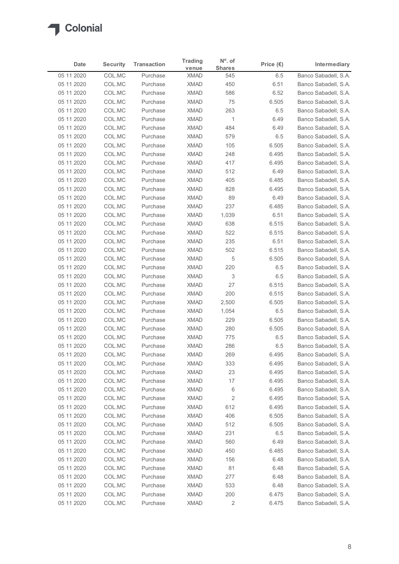| Date                     | <b>Security</b>  | <b>Transaction</b>   | <b>Trading</b>             | $No$ . of            | Price $(\epsilon)$ | Intermediary                                 |
|--------------------------|------------------|----------------------|----------------------------|----------------------|--------------------|----------------------------------------------|
| 05 11 2020               | COL.MC           | Purchase             | venue<br><b>XMAD</b>       | <b>Shares</b><br>545 | 6.5                | Banco Sabadell, S.A.                         |
| 05 11 2020               | COL.MC           | Purchase             | <b>XMAD</b>                | 450                  | 6.51               | Banco Sabadell, S.A.                         |
| 05 11 2020               | COL.MC           | Purchase             | <b>XMAD</b>                | 586                  | 6.52               | Banco Sabadell, S.A.                         |
| 05 11 2020               | COL.MC           | Purchase             | <b>XMAD</b>                | 75                   | 6.505              | Banco Sabadell, S.A.                         |
| 05 11 2020               | COL.MC           | Purchase             | <b>XMAD</b>                | 263                  | 6.5                | Banco Sabadell, S.A.                         |
| 05 11 2020               | COL.MC           | Purchase             | <b>XMAD</b>                | $\overline{1}$       | 6.49               | Banco Sabadell, S.A.                         |
| 05 11 2020<br>05 11 2020 | COL.MC<br>COL.MC | Purchase<br>Purchase | <b>XMAD</b><br><b>XMAD</b> | 484<br>579           | 6.49<br>6.5        | Banco Sabadell, S.A.<br>Banco Sabadell, S.A. |
| 05 11 2020               | COL.MC           | Purchase             | <b>XMAD</b>                | 105                  | 6.505              | Banco Sabadell, S.A.                         |
| 05 11 2020               | COL.MC           | Purchase             | <b>XMAD</b>                | 248                  | 6.495              | Banco Sabadell, S.A.                         |
| 05 11 2020               | COL.MC           | Purchase             | <b>XMAD</b>                | 417                  | 6.495              | Banco Sabadell, S.A.                         |
| 05 11 2020               | COL.MC           | Purchase             | <b>XMAD</b>                | 512                  | 6.49               | Banco Sabadell, S.A.                         |
| 05 11 2020               | COL.MC           | Purchase             | <b>XMAD</b>                | 405                  | 6.485              | Banco Sabadell, S.A.                         |
| 05 11 2020               | COL.MC           | Purchase             | XMAD                       | 828                  | 6.495              | Banco Sabadell, S.A.                         |
| 05 11 2020<br>05 11 2020 | COL.MC           | Purchase<br>Purchase | <b>XMAD</b><br><b>XMAD</b> | 89<br>237            | 6.49<br>6.485      | Banco Sabadell, S.A.                         |
| 05 11 2020               | COL.MC<br>COL.MC | Purchase             | XMAD                       | 1,039                | 6.51               | Banco Sabadell, S.A.<br>Banco Sabadell, S.A. |
| 05 11 2020               | COL.MC           | Purchase             | <b>XMAD</b>                | 638                  | 6.515              | Banco Sabadell, S.A.                         |
| 05 11 2020               | COL.MC           | Purchase             | <b>XMAD</b>                | 522                  | 6.515              | Banco Sabadell, S.A.                         |
| 05 11 2020               | COL.MC           | Purchase             | <b>XMAD</b>                | 235                  | 6.51               | Banco Sabadell, S.A.                         |
| 05 11 2020               | COL.MC           | Purchase             | <b>XMAD</b>                | 502                  | 6.515              | Banco Sabadell, S.A.                         |
| 05 11 2020               | COL.MC           | Purchase             | <b>XMAD</b>                | 5                    | 6.505              | Banco Sabadell, S.A.                         |
| 05 11 2020               | COL.MC           | Purchase             | <b>XMAD</b>                | 220                  | 6.5                | Banco Sabadell, S.A.                         |
| 05 11 2020               | COL.MC           | Purchase             | <b>XMAD</b>                | 3                    | 6.5                | Banco Sabadell, S.A.                         |
| 05 11 2020               | COL.MC           | Purchase             | <b>XMAD</b>                | 27                   | 6.515              | Banco Sabadell, S.A.                         |
| 05 11 2020<br>05 11 2020 | COL.MC<br>COL.MC | Purchase<br>Purchase | <b>XMAD</b><br><b>XMAD</b> | 200<br>2,500         | 6.515<br>6.505     | Banco Sabadell, S.A.<br>Banco Sabadell, S.A. |
| 05 11 2020               | COL.MC           | Purchase             | <b>XMAD</b>                | 1,054                | 6.5                | Banco Sabadell, S.A.                         |
| 05 11 2020               | COL.MC           | Purchase             | <b>XMAD</b>                | 229                  | 6.505              | Banco Sabadell, S.A.                         |
| 05 11 2020               | COL.MC           | Purchase             | <b>XMAD</b>                | 280                  | 6.505              | Banco Sabadell, S.A.                         |
| 05 11 2020               | COL.MC           | Purchase             | <b>XMAD</b>                | 775                  | $6.5\,$            | Banco Sabadell, S.A.                         |
| 05 11 2020               | COL.MC           | Purchase             | <b>XMAD</b>                | 286                  | $6.5\,$            | Banco Sabadell, S.A.                         |
| 05 11 2020               | COL.MC           | Purchase             | <b>XMAD</b>                | 269                  | 6.495              | Banco Sabadell, S.A.                         |
| 05 11 2020               | COL.MC           | Purchase             | <b>XMAD</b>                | 333                  | 6.495              | Banco Sabadell, S.A.                         |
| 05 11 2020               | COL.MC           | Purchase             | <b>XMAD</b>                | 23                   | 6.495              | Banco Sabadell, S.A.                         |
| 05 11 2020<br>05 11 2020 | COL.MC<br>COL.MC | Purchase<br>Purchase | <b>XMAD</b><br><b>XMAD</b> | 17<br>6              | 6.495<br>6.495     | Banco Sabadell, S.A.<br>Banco Sabadell, S.A. |
| 05 11 2020               | COL.MC           | Purchase             | <b>XMAD</b>                | $\overline{c}$       | 6.495              | Banco Sabadell, S.A.                         |
| 05 11 2020               | COL.MC           | Purchase             | <b>XMAD</b>                | 612                  | 6.495              | Banco Sabadell, S.A.                         |
| 05 11 2020               | COL.MC           | Purchase             | <b>XMAD</b>                | 406                  | 6.505              | Banco Sabadell, S.A.                         |
| 05 11 2020               | COL.MC           | Purchase             | <b>XMAD</b>                | 512                  | 6.505              | Banco Sabadell, S.A.                         |
| 05 11 2020               | COL.MC           | Purchase             | <b>XMAD</b>                | 231                  | 6.5                | Banco Sabadell, S.A.                         |
| 05 11 2020               | COL.MC           | Purchase             | <b>XMAD</b>                | 560                  | 6.49               | Banco Sabadell, S.A.                         |
| 05 11 2020               | COL.MC           | Purchase             | <b>XMAD</b>                | 450                  | 6.485              | Banco Sabadell, S.A.                         |
| 05 11 2020               | COL.MC           | Purchase             | <b>XMAD</b>                | 156                  | 6.48               | Banco Sabadell, S.A.                         |
| 05 11 2020               | COL.MC           | Purchase             | XMAD                       | 81                   | 6.48               | Banco Sabadell, S.A.                         |
| 05 11 2020<br>05 11 2020 | COL.MC<br>COL.MC | Purchase<br>Purchase | <b>XMAD</b><br><b>XMAD</b> | 277<br>533           | 6.48<br>6.48       | Banco Sabadell, S.A.<br>Banco Sabadell, S.A. |
|                          | COL.MC           | Purchase             | <b>XMAD</b>                | 200                  | 6.475              | Banco Sabadell, S.A.                         |
| 05 11 2020               |                  | Purchase             | <b>XMAD</b>                | $\sqrt{2}$           | 6.475              | Banco Sabadell, S.A.                         |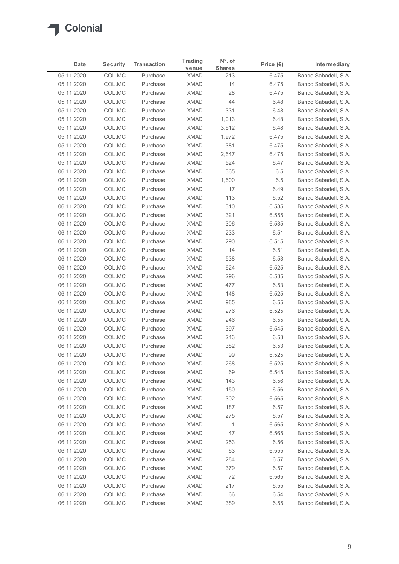| Date                     | <b>Security</b>  | <b>Transaction</b>   | <b>Trading</b>             | N°. of               | Price $(\epsilon)$ | Intermediary                                 |
|--------------------------|------------------|----------------------|----------------------------|----------------------|--------------------|----------------------------------------------|
| 05 11 2020               | COL.MC           | Purchase             | venue<br><b>XMAD</b>       | <b>Shares</b><br>213 | 6.475              | Banco Sabadell, S.A.                         |
| 05 11 2020               | COL.MC           | Purchase             | <b>XMAD</b>                | 14                   | 6.475              | Banco Sabadell, S.A.                         |
| 05 11 2020               | COL.MC           | Purchase             | <b>XMAD</b>                | 28                   | 6.475              | Banco Sabadell, S.A.                         |
| 05 11 2020               | COL.MC           | Purchase             | <b>XMAD</b>                | 44                   | 6.48               | Banco Sabadell, S.A.                         |
| 05 11 2020               | COL.MC           | Purchase             | <b>XMAD</b>                | 331                  | 6.48               | Banco Sabadell, S.A.                         |
| 05 11 2020               | COL.MC           | Purchase             | <b>XMAD</b>                | 1,013                | 6.48               | Banco Sabadell, S.A.                         |
| 05 11 2020               | COL.MC           | Purchase             | <b>XMAD</b>                | 3,612                | 6.48               | Banco Sabadell, S.A.                         |
| 05 11 2020<br>05 11 2020 | COL.MC<br>COL.MC | Purchase<br>Purchase | <b>XMAD</b><br><b>XMAD</b> | 1,972<br>381         | 6.475<br>6.475     | Banco Sabadell, S.A.<br>Banco Sabadell, S.A. |
| 05 11 2020               | COL.MC           | Purchase             | <b>XMAD</b>                | 2,647                | 6.475              | Banco Sabadell, S.A.                         |
| 05 11 2020               | COL.MC           | Purchase             | <b>XMAD</b>                | 524                  | 6.47               | Banco Sabadell, S.A.                         |
| 06 11 2020               | COL.MC           | Purchase             | <b>XMAD</b>                | 365                  | 6.5                | Banco Sabadell, S.A.                         |
| 06 11 2020               | COL.MC           | Purchase             | <b>XMAD</b>                | 1,600                | 6.5                | Banco Sabadell, S.A.                         |
| 06 11 2020               | COL.MC           | Purchase             | XMAD                       | 17                   | 6.49               | Banco Sabadell, S.A.                         |
| 06 11 2020               | COL.MC           | Purchase             | XMAD                       | 113                  | 6.52               | Banco Sabadell, S.A.                         |
| 06 11 2020               | COL.MC           | Purchase             | XMAD                       | 310                  | 6.535              | Banco Sabadell, S.A.                         |
| 06 11 2020<br>06 11 2020 | COL.MC<br>COL.MC | Purchase<br>Purchase | <b>XMAD</b><br><b>XMAD</b> | 321<br>306           | 6.555              | Banco Sabadell, S.A.<br>Banco Sabadell, S.A. |
| 06 11 2020               | COL.MC           | Purchase             | <b>XMAD</b>                | 233                  | 6.535<br>6.51      | Banco Sabadell, S.A.                         |
| 06 11 2020               | COL.MC           | Purchase             | <b>XMAD</b>                | 290                  | 6.515              | Banco Sabadell, S.A.                         |
| 06 11 2020               | COL.MC           | Purchase             | <b>XMAD</b>                | 14                   | 6.51               | Banco Sabadell, S.A.                         |
| 06 11 2020               | COL.MC           | Purchase             | XMAD                       | 538                  | 6.53               | Banco Sabadell, S.A.                         |
| 06 11 2020               | COL.MC           | Purchase             | XMAD                       | 624                  | 6.525              | Banco Sabadell, S.A.                         |
| 06 11 2020               | COL.MC           | Purchase             | XMAD                       | 296                  | 6.535              | Banco Sabadell, S.A.                         |
| 06 11 2020               | COL.MC           | Purchase             | <b>XMAD</b>                | 477                  | 6.53               | Banco Sabadell, S.A.                         |
| 06 11 2020               | COL.MC           | Purchase             | <b>XMAD</b>                | 148                  | 6.525              | Banco Sabadell, S.A.                         |
| 06 11 2020<br>06 11 2020 | COL.MC<br>COL.MC | Purchase<br>Purchase | XMAD<br>XMAD               | 985<br>276           | 6.55<br>6.525      | Banco Sabadell, S.A.<br>Banco Sabadell, S.A. |
| 06 11 2020               | COL.MC           | Purchase             | XMAD                       | 246                  | 6.55               | Banco Sabadell, S.A.                         |
| 06 11 2020               | COL.MC           | Purchase             | <b>XMAD</b>                | 397                  | 6.545              | Banco Sabadell, S.A.                         |
| 06 11 2020               | COL.MC           | Purchase             | <b>XMAD</b>                | 243                  | 6.53               | Banco Sabadell, S.A.                         |
| 06 11 2020               | COL.MC           | Purchase             | XMAD                       | 382                  | 6.53               | Banco Sabadell, S.A.                         |
| 06 11 2020               | COL.MC           | Purchase             | XMAD                       | 99                   | 6.525              | Banco Sabadell, S.A.                         |
| 06 11 2020               | COL.MC           | Purchase             | <b>XMAD</b>                | 268                  | 6.525              | Banco Sabadell, S.A.                         |
| 06 11 2020               | COL.MC           | Purchase             | XMAD                       | 69                   | 6.545              | Banco Sabadell, S.A.                         |
| 06 11 2020               | COL.MC           | Purchase             | XMAD                       | 143                  | 6.56               | Banco Sabadell, S.A.                         |
| 06 11 2020<br>06 11 2020 | COL.MC<br>COL.MC | Purchase<br>Purchase | <b>XMAD</b><br><b>XMAD</b> | 150<br>302           | 6.56<br>6.565      | Banco Sabadell, S.A.<br>Banco Sabadell, S.A. |
| 06 11 2020               | COL.MC           | Purchase             | XMAD                       | 187                  | 6.57               | Banco Sabadell, S.A.                         |
| 06 11 2020               | COL.MC           | Purchase             | <b>XMAD</b>                | 275                  | 6.57               | Banco Sabadell, S.A.                         |
| 06 11 2020               | COL.MC           | Purchase             | <b>XMAD</b>                | $\overline{1}$       | 6.565              | Banco Sabadell, S.A.                         |
| 06 11 2020               | COL.MC           | Purchase             | <b>XMAD</b>                | 47                   | 6.565              | Banco Sabadell, S.A.                         |
| 06 11 2020               | COL.MC           | Purchase             | <b>XMAD</b>                | 253                  | 6.56               | Banco Sabadell, S.A.                         |
| 06 11 2020               | COL.MC           | Purchase             | <b>XMAD</b>                | 63                   | 6.555              | Banco Sabadell, S.A.                         |
| 06 11 2020               | COL.MC           | Purchase             | XMAD                       | 284                  | 6.57               | Banco Sabadell, S.A.                         |
| 06 11 2020               | COL.MC           | Purchase             | <b>XMAD</b>                | 379                  | 6.57               | Banco Sabadell, S.A.                         |
| 06 11 2020<br>06 11 2020 | COL.MC<br>COL.MC | Purchase<br>Purchase | XMAD<br><b>XMAD</b>        | 72<br>217            | 6.565<br>6.55      | Banco Sabadell, S.A.<br>Banco Sabadell, S.A. |
|                          | COL.MC           | Purchase             | <b>XMAD</b>                | 66                   | 6.54               | Banco Sabadell, S.A.                         |
| 06 11 2020               |                  |                      | <b>XMAD</b>                | 389                  | 6.55               | Banco Sabadell, S.A.                         |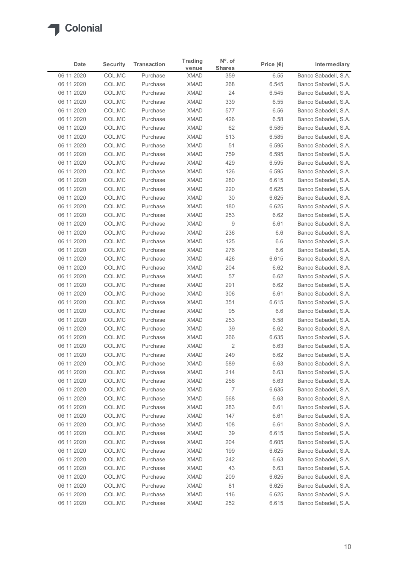

| Date                     | <b>Security</b>  | <b>Transaction</b>   | <b>Trading</b>             | N°. of               | Price $(\epsilon)$ | Intermediary                                 |
|--------------------------|------------------|----------------------|----------------------------|----------------------|--------------------|----------------------------------------------|
| 06 11 2020               | COL.MC           | Purchase             | venue<br><b>XMAD</b>       | <b>Shares</b><br>359 | 6.55               | Banco Sabadell, S.A.                         |
| 06 11 2020               | COL.MC           | Purchase             | <b>XMAD</b>                | 268                  | 6.545              | Banco Sabadell, S.A.                         |
| 06 11 2020               | COL.MC           | Purchase             | <b>XMAD</b>                | 24                   | 6.545              | Banco Sabadell, S.A.                         |
| 06 11 2020               | COL.MC           | Purchase             | <b>XMAD</b>                | 339                  | 6.55               | Banco Sabadell, S.A.                         |
| 06 11 2020               | COL.MC           | Purchase             | <b>XMAD</b>                | 577                  | 6.56               | Banco Sabadell, S.A.                         |
| 06 11 2020               | COL.MC           | Purchase             | <b>XMAD</b>                | 426                  | 6.58               | Banco Sabadell, S.A.                         |
| 06 11 2020<br>06 11 2020 | COL.MC           | Purchase<br>Purchase | <b>XMAD</b><br><b>XMAD</b> | 62                   | 6.585              | Banco Sabadell, S.A.                         |
| 06 11 2020               | COL.MC<br>COL.MC | Purchase             | <b>XMAD</b>                | 513<br>51            | 6.585<br>6.595     | Banco Sabadell, S.A.<br>Banco Sabadell, S.A. |
| 06 11 2020               | COL.MC           | Purchase             | <b>XMAD</b>                | 759                  | 6.595              | Banco Sabadell, S.A.                         |
| 06 11 2020               | COL.MC           | Purchase             | <b>XMAD</b>                | 429                  | 6.595              | Banco Sabadell, S.A.                         |
| 06 11 2020               | COL.MC           | Purchase             | <b>XMAD</b>                | 126                  | 6.595              | Banco Sabadell, S.A.                         |
| 06 11 2020               | COL.MC           | Purchase             | <b>XMAD</b>                | 280                  | 6.615              | Banco Sabadell, S.A.                         |
| 06 11 2020               | COL.MC           | Purchase             | XMAD                       | 220                  | 6.625              | Banco Sabadell, S.A.                         |
| 06 11 2020               | COL.MC           | Purchase             | <b>XMAD</b>                | 30                   | 6.625              | Banco Sabadell, S.A.                         |
| 06 11 2020<br>06 11 2020 | COL.MC<br>COL.MC | Purchase<br>Purchase | XMAD<br><b>XMAD</b>        | 180<br>253           | 6.625<br>6.62      | Banco Sabadell, S.A.<br>Banco Sabadell, S.A. |
| 06 11 2020               | COL.MC           | Purchase             | <b>XMAD</b>                | 9                    | 6.61               | Banco Sabadell, S.A.                         |
| 06 11 2020               | COL.MC           | Purchase             | <b>XMAD</b>                | 236                  | 6.6                | Banco Sabadell, S.A.                         |
| 06 11 2020               | COL.MC           | Purchase             | <b>XMAD</b>                | 125                  | 6.6                | Banco Sabadell, S.A.                         |
| 06 11 2020               | COL.MC           | Purchase             | <b>XMAD</b>                | 276                  | 6.6                | Banco Sabadell, S.A.                         |
| 06 11 2020               | COL.MC           | Purchase             | XMAD                       | 426                  | 6.615              | Banco Sabadell, S.A.                         |
| 06 11 2020               | COL.MC           | Purchase             | <b>XMAD</b>                | 204                  | 6.62               | Banco Sabadell, S.A.                         |
| 06 11 2020               | COL.MC           | Purchase             | XMAD                       | 57                   | 6.62               | Banco Sabadell, S.A.                         |
| 06 11 2020               | COL.MC           | Purchase             | <b>XMAD</b>                | 291                  | 6.62               | Banco Sabadell, S.A.                         |
| 06 11 2020<br>06 11 2020 | COL.MC<br>COL.MC | Purchase<br>Purchase | <b>XMAD</b><br><b>XMAD</b> | 306<br>351           | 6.61<br>6.615      | Banco Sabadell, S.A.<br>Banco Sabadell, S.A. |
| 06 11 2020               | COL.MC           | Purchase             | <b>XMAD</b>                | 95                   | 6.6                | Banco Sabadell, S.A.                         |
| 06 11 2020               | COL.MC           | Purchase             | XMAD                       | 253                  | 6.58               | Banco Sabadell, S.A.                         |
| 06 11 2020               | COL.MC           | Purchase             | <b>XMAD</b>                | 39                   | 6.62               | Banco Sabadell, S.A.                         |
| 06 11 2020               | COL.MC           | Purchase             | <b>XMAD</b>                | 266                  | 6.635              | Banco Sabadell, S.A.                         |
| 06 11 2020               | COL.MC           | Purchase             | XMAD                       | $\overline{2}$       | 6.63               | Banco Sabadell, S.A.                         |
| 06 11 2020               | COL.MC           | Purchase             | XMAD                       | 249                  | 6.62               | Banco Sabadell, S.A.                         |
| 06 11 2020               | COL.MC           | Purchase             | <b>XMAD</b>                | 589                  | 6.63               | Banco Sabadell, S.A.                         |
| 06 11 2020               | COL.MC           | Purchase             | <b>XMAD</b>                | 214                  | 6.63               | Banco Sabadell, S.A.                         |
| 06 11 2020<br>06 11 2020 | COL.MC<br>COL.MC | Purchase<br>Purchase | XMAD<br><b>XMAD</b>        | 256<br>7             | 6.63<br>6.635      | Banco Sabadell, S.A.<br>Banco Sabadell, S.A. |
| 06 11 2020               | COL.MC           | Purchase             | <b>XMAD</b>                | 568                  | 6.63               | Banco Sabadell, S.A.                         |
| 06 11 2020               | COL.MC           | Purchase             | XMAD                       | 283                  | 6.61               | Banco Sabadell, S.A.                         |
| 06 11 2020               | COL.MC           | Purchase             | <b>XMAD</b>                | 147                  | 6.61               | Banco Sabadell, S.A.                         |
| 06 11 2020               | COL.MC           | Purchase             | <b>XMAD</b>                | 108                  | 6.61               | Banco Sabadell, S.A.                         |
| 06 11 2020               | COL.MC           | Purchase             | <b>XMAD</b>                | 39                   | 6.615              | Banco Sabadell, S.A.                         |
| 06 11 2020               | COL.MC           | Purchase             | <b>XMAD</b>                | 204                  | 6.605              | Banco Sabadell, S.A.                         |
| 06 11 2020               | COL.MC           | Purchase             | <b>XMAD</b>                | 199                  | 6.625              | Banco Sabadell, S.A.                         |
| 06 11 2020               | COL.MC           | Purchase             | XMAD                       | 242                  | 6.63               | Banco Sabadell, S.A.                         |
| 06 11 2020<br>06 11 2020 | COL.MC<br>COL.MC | Purchase<br>Purchase | <b>XMAD</b><br><b>XMAD</b> | 43<br>209            | 6.63<br>6.625      | Banco Sabadell, S.A.<br>Banco Sabadell, S.A. |
| 06 11 2020               | COL.MC           | Purchase             | <b>XMAD</b>                | 81                   | 6.625              | Banco Sabadell, S.A.                         |
|                          | COL.MC           | Purchase             | <b>XMAD</b>                | 116                  | 6.625              | Banco Sabadell, S.A.                         |
| 06 11 2020               |                  | Purchase             | <b>XMAD</b>                | 252                  | 6.615              | Banco Sabadell, S.A.                         |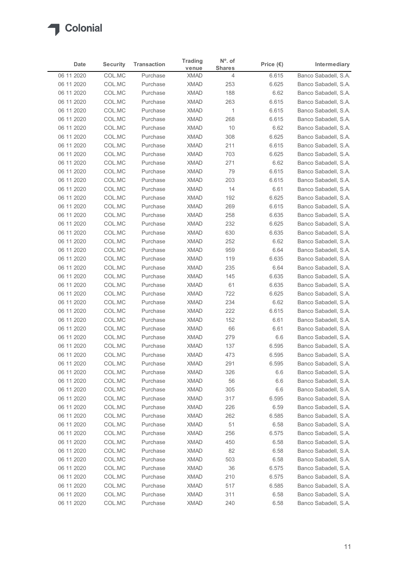

| Date                     | <b>Security</b>  | <b>Transaction</b>   | <b>Trading</b>             | N°. of             | Price $(\epsilon)$ | Intermediary                                 |
|--------------------------|------------------|----------------------|----------------------------|--------------------|--------------------|----------------------------------------------|
| 06 11 2020               | COL.MC           | Purchase             | venue<br><b>XMAD</b>       | <b>Shares</b><br>4 | 6.615              | Banco Sabadell, S.A.                         |
| 06 11 2020               | COL.MC           | Purchase             | <b>XMAD</b>                | 253                | 6.625              | Banco Sabadell, S.A.                         |
| 06 11 2020               | COL.MC           | Purchase             | <b>XMAD</b>                | 188                | 6.62               | Banco Sabadell, S.A.                         |
| 06 11 2020               | COL.MC           | Purchase             | <b>XMAD</b>                | 263                | 6.615              | Banco Sabadell, S.A.                         |
| 06 11 2020               | COL.MC           | Purchase             | <b>XMAD</b>                | $\overline{1}$     | 6.615              | Banco Sabadell, S.A.                         |
| 06 11 2020               | COL.MC<br>COL.MC | Purchase<br>Purchase | <b>XMAD</b><br><b>XMAD</b> | 268<br>10          | 6.615              | Banco Sabadell, S.A.<br>Banco Sabadell, S.A. |
| 06 11 2020<br>06 11 2020 | COL.MC           | Purchase             | <b>XMAD</b>                | 308                | 6.62<br>6.625      | Banco Sabadell, S.A.                         |
| 06 11 2020               | COL.MC           | Purchase             | <b>XMAD</b>                | 211                | 6.615              | Banco Sabadell, S.A.                         |
| 06 11 2020               | COL.MC           | Purchase             | <b>XMAD</b>                | 703                | 6.625              | Banco Sabadell, S.A.                         |
| 06 11 2020               | COL.MC           | Purchase             | <b>XMAD</b>                | 271                | 6.62               | Banco Sabadell, S.A.                         |
| 06 11 2020               | COL.MC           | Purchase             | <b>XMAD</b>                | 79                 | 6.615              | Banco Sabadell, S.A.                         |
| 06 11 2020<br>06 11 2020 | COL.MC<br>COL.MC | Purchase<br>Purchase | <b>XMAD</b><br>XMAD        | 203<br>14          | 6.615<br>6.61      | Banco Sabadell, S.A.<br>Banco Sabadell, S.A. |
| 06 11 2020               | COL.MC           | Purchase             | XMAD                       | 192                | 6.625              | Banco Sabadell, S.A.                         |
| 06 11 2020               | COL.MC           | Purchase             | XMAD                       | 269                | 6.615              | Banco Sabadell, S.A.                         |
| 06 11 2020               | COL.MC           | Purchase             | XMAD                       | 258                | 6.635              | Banco Sabadell, S.A.                         |
| 06 11 2020               | COL.MC           | Purchase             | <b>XMAD</b>                | 232                | 6.625              | Banco Sabadell, S.A.                         |
| 06 11 2020               | COL.MC           | Purchase             | <b>XMAD</b>                | 630                | 6.635              | Banco Sabadell, S.A.                         |
| 06 11 2020<br>06 11 2020 | COL.MC<br>COL.MC | Purchase<br>Purchase | <b>XMAD</b><br><b>XMAD</b> | 252<br>959         | 6.62<br>6.64       | Banco Sabadell, S.A.<br>Banco Sabadell, S.A. |
| 06 11 2020               | COL.MC           | Purchase             | XMAD                       | 119                | 6.635              | Banco Sabadell, S.A.                         |
| 06 11 2020               | COL.MC           | Purchase             | XMAD                       | 235                | 6.64               | Banco Sabadell, S.A.                         |
| 06 11 2020               | COL.MC           | Purchase             | <b>XMAD</b>                | 145                | 6.635              | Banco Sabadell, S.A.                         |
| 06 11 2020               | COL.MC           | Purchase             | XMAD                       | 61                 | 6.635              | Banco Sabadell, S.A.                         |
| 06 11 2020               | COL.MC           | Purchase             | <b>XMAD</b>                | 722                | 6.625              | Banco Sabadell, S.A.                         |
| 06 11 2020<br>06 11 2020 | COL.MC<br>COL.MC | Purchase<br>Purchase | <b>XMAD</b><br><b>XMAD</b> | 234<br>222         | 6.62<br>6.615      | Banco Sabadell, S.A.<br>Banco Sabadell, S.A. |
| 06 11 2020               | COL.MC           | Purchase             | XMAD                       | 152                | 6.61               | Banco Sabadell, S.A.                         |
| 06 11 2020               | COL.MC           | Purchase             | <b>XMAD</b>                | 66                 | 6.61               | Banco Sabadell, S.A.                         |
| 06 11 2020               | COL.MC           | Purchase             | <b>XMAD</b>                | 279                | 6.6                | Banco Sabadell, S.A.                         |
| 06 11 2020               | COL.MC           | Purchase             | XMAD                       | 137                | 6.595              | Banco Sabadell, S.A.                         |
| 06 11 2020               | COL.MC           | Purchase             | XMAD                       | 473                | 6.595              | Banco Sabadell, S.A.                         |
| 06 11 2020               | COL.MC           | Purchase             | <b>XMAD</b>                | 291                | 6.595              | Banco Sabadell, S.A.                         |
| 06 11 2020<br>06 11 2020 | COL.MC<br>COL.MC | Purchase<br>Purchase | <b>XMAD</b><br>XMAD        | 326<br>56          | 6.6<br>6.6         | Banco Sabadell, S.A.<br>Banco Sabadell, S.A. |
| 06 11 2020               | COL.MC           | Purchase             | <b>XMAD</b>                | 305                | 6.6                | Banco Sabadell, S.A.                         |
| 06 11 2020               | COL.MC           | Purchase             | <b>XMAD</b>                | 317                | 6.595              | Banco Sabadell, S.A.                         |
| 06 11 2020               | COL.MC           | Purchase             | XMAD                       | 226                | 6.59               | Banco Sabadell, S.A.                         |
| 06 11 2020               | COL.MC           | Purchase             | <b>XMAD</b>                | 262                | 6.585              | Banco Sabadell, S.A.                         |
| 06 11 2020               | COL.MC           | Purchase             | <b>XMAD</b>                | 51                 | 6.58               | Banco Sabadell, S.A.                         |
| 06 11 2020               | COL.MC           | Purchase             | <b>XMAD</b>                | 256                | 6.575              | Banco Sabadell, S.A.                         |
| 06 11 2020               | COL.MC           | Purchase<br>Purchase | <b>XMAD</b><br><b>XMAD</b> | 450                | 6.58               | Banco Sabadell, S.A.                         |
| 06 11 2020<br>06 11 2020 | COL.MC<br>COL.MC | Purchase             | XMAD                       | 82<br>503          | 6.58<br>6.58       | Banco Sabadell, S.A.<br>Banco Sabadell, S.A. |
| 06 11 2020               | COL.MC           | Purchase             | <b>XMAD</b>                | 36                 | 6.575              | Banco Sabadell, S.A.                         |
| 06 11 2020               | COL.MC           | Purchase             | XMAD                       | 210                | 6.575              | Banco Sabadell, S.A.                         |
| 06 11 2020               | COL.MC           | Purchase             | <b>XMAD</b>                | 517                | 6.585              | Banco Sabadell, S.A.                         |
| 06 11 2020               | COL.MC           | Purchase             | <b>XMAD</b>                | 311                | 6.58               | Banco Sabadell, S.A.                         |
| 06 11 2020               | COL.MC           | Purchase             | <b>XMAD</b>                | 240                | 6.58               | Banco Sabadell, S.A.                         |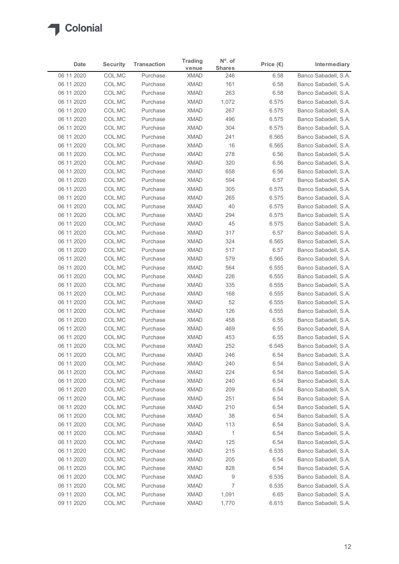| venue<br>Banco Sabadell, S.A.<br>06 11 2020<br>COL.MC<br><b>XMAD</b><br>Purchase<br>246<br>6.58<br>COL.MC<br><b>XMAD</b><br>161<br>Banco Sabadell, S.A.<br>06 11 2020<br>Purchase<br>6.58<br>COL.MC<br><b>XMAD</b><br>263<br>Banco Sabadell, S.A.<br>06 11 2020<br>Purchase<br>6.58<br><b>XMAD</b><br>06 11 2020<br>COL.MC<br>Purchase<br>1,072<br>6.575<br>Banco Sabadell, S.A.<br>COL.MC<br><b>XMAD</b><br>267<br>06 11 2020<br>Purchase<br>6.575<br>Banco Sabadell, S.A.<br>COL.MC<br><b>XMAD</b><br>Banco Sabadell, S.A.<br>06 11 2020<br>Purchase<br>496<br>6.575<br>06 11 2020<br>COL.MC<br><b>XMAD</b><br>304<br>Banco Sabadell, S.A.<br>Purchase<br>6.575<br>06 11 2020<br>COL.MC<br>Purchase<br><b>XMAD</b><br>241<br>6.565<br>Banco Sabadell, S.A.<br>COL.MC<br>06 11 2020<br><b>XMAD</b><br>16<br>6.565<br>Banco Sabadell, S.A.<br>Purchase<br><b>XMAD</b><br>278<br>06 11 2020<br>COL.MC<br>Purchase<br>6.56<br>Banco Sabadell, S.A.<br>COL.MC<br><b>XMAD</b><br>06 11 2020<br>Purchase<br>320<br>6.56<br>Banco Sabadell, S.A.<br>COL.MC<br><b>XMAD</b><br>658<br>Banco Sabadell, S.A.<br>06 11 2020<br>Purchase<br>6.56<br><b>XMAD</b><br>594<br>06 11 2020<br>COL.MC<br>Purchase<br>6.57<br>Banco Sabadell, S.A.<br>06 11 2020<br>COL.MC<br>XMAD<br>305<br>6.575<br>Banco Sabadell, S.A.<br>Purchase<br>06 11 2020<br>Banco Sabadell, S.A.<br>COL.MC<br>Purchase<br>XMAD<br>265<br>6.575<br>XMAD<br>6.575<br>06 11 2020<br>COL.MC<br>40<br>Banco Sabadell, S.A.<br>Purchase<br><b>XMAD</b><br>6.575<br>06 11 2020<br>COL.MC<br>Purchase<br>294<br>COL.MC<br><b>XMAD</b><br>06 11 2020<br>Purchase<br>45<br>6.575<br>Banco Sabadell, S.A.<br>06 11 2020<br>COL.MC<br>Purchase<br><b>XMAD</b><br>317<br>6.57<br>06 11 2020<br>COL.MC<br>Purchase<br><b>XMAD</b><br>324<br>6.565<br>Banco Sabadell, S.A.<br>06 11 2020<br>COL.MC<br><b>XMAD</b><br>517<br>6.57<br>Banco Sabadell, S.A.<br>Purchase<br>XMAD<br>579<br>6.565<br>06 11 2020<br>COL.MC<br>Banco Sabadell, S.A.<br>Purchase<br>XMAD<br>6.555<br>Banco Sabadell, S.A.<br>06 11 2020<br>COL.MC<br>Purchase<br>564<br>06 11 2020<br>COL.MC<br>XMAD<br>226<br>6.555<br>Banco Sabadell, S.A.<br>Purchase<br>06 11 2020<br>COL.MC<br>XMAD<br>335<br>6.555<br>Banco Sabadell, S.A.<br>Purchase<br>06 11 2020<br>COL.MC<br><b>XMAD</b><br>168<br>6.555<br>Banco Sabadell, S.A.<br>Purchase<br>06 11 2020<br>COL.MC<br>XMAD<br>52<br>6.555<br>Banco Sabadell, S.A.<br>Purchase<br>XMAD<br>6.555<br>06 11 2020<br>COL.MC<br>126<br>Purchase<br>XMAD<br>06 11 2020<br>COL.MC<br>Purchase<br>458<br>6.55<br>Banco Sabadell, S.A.<br>06 11 2020<br>COL.MC<br>Purchase<br><b>XMAD</b><br>469<br>6.55<br>Banco Sabadell, S.A.<br>06 11 2020<br>COL.MC<br>Purchase<br><b>XMAD</b><br>453<br>6.55<br>Banco Sabadell, S.A.<br>06 11 2020<br>COL.MC<br>XMAD<br>252<br>6.545<br>Banco Sabadell, S.A.<br>Purchase<br>06 11 2020<br>COL.MC<br>Purchase<br>XMAD<br>246<br>6.54<br>Banco Sabadell, S.A.<br><b>XMAD</b><br>240<br>06 11 2020<br>COL.MC<br>6.54<br>Banco Sabadell, S.A.<br>Purchase<br>COL.MC<br><b>XMAD</b><br>Banco Sabadell, S.A.<br>06 11 2020<br>Purchase<br>224<br>6.54<br>06 11 2020<br>COL.MC<br>Purchase<br>XMAD<br>240<br>6.54<br>Banco Sabadell, S.A.<br>06 11 2020<br>COL.MC<br><b>XMAD</b><br>209<br>6.54<br>Banco Sabadell, S.A.<br>Purchase<br>06 11 2020<br>COL.MC<br><b>XMAD</b><br>251<br>6.54<br>Banco Sabadell, S.A.<br>Purchase<br>XMAD<br>06 11 2020<br>COL.MC<br>210<br>6.54<br>Banco Sabadell, S.A.<br>Purchase<br><b>XMAD</b><br>38<br>06 11 2020<br>COL.MC<br>6.54<br>Banco Sabadell, S.A.<br>Purchase<br>COL.MC<br><b>XMAD</b><br>Banco Sabadell, S.A.<br>06 11 2020<br>Purchase<br>113<br>6.54<br><b>XMAD</b><br>$\overline{1}$<br>Banco Sabadell, S.A.<br>06 11 2020<br>COL.MC<br>Purchase<br>6.54<br>06 11 2020<br>COL.MC<br>Purchase<br><b>XMAD</b><br>125<br>6.54<br>Banco Sabadell, S.A.<br>215<br>06 11 2020<br>COL.MC<br><b>XMAD</b><br>6.535<br>Banco Sabadell, S.A.<br>Purchase<br><b>XMAD</b><br>205<br>06 11 2020<br>COL.MC<br>Purchase<br>6.54<br>Banco Sabadell, S.A.<br><b>XMAD</b><br>06 11 2020<br>COL.MC<br>Purchase<br>828<br>6.54<br>Banco Sabadell, S.A.<br>06 11 2020<br>COL.MC<br>Purchase<br><b>XMAD</b><br>9<br>6.535<br>Banco Sabadell, S.A.<br>7<br>6.535<br>06 11 2020<br>COL.MC<br>Purchase<br><b>XMAD</b><br>Banco Sabadell, S.A. | Date       | <b>Security</b> | <b>Transaction</b> | <b>Trading</b> | N°. of        | Price $(\epsilon)$ | Intermediary         |
|--------------------------------------------------------------------------------------------------------------------------------------------------------------------------------------------------------------------------------------------------------------------------------------------------------------------------------------------------------------------------------------------------------------------------------------------------------------------------------------------------------------------------------------------------------------------------------------------------------------------------------------------------------------------------------------------------------------------------------------------------------------------------------------------------------------------------------------------------------------------------------------------------------------------------------------------------------------------------------------------------------------------------------------------------------------------------------------------------------------------------------------------------------------------------------------------------------------------------------------------------------------------------------------------------------------------------------------------------------------------------------------------------------------------------------------------------------------------------------------------------------------------------------------------------------------------------------------------------------------------------------------------------------------------------------------------------------------------------------------------------------------------------------------------------------------------------------------------------------------------------------------------------------------------------------------------------------------------------------------------------------------------------------------------------------------------------------------------------------------------------------------------------------------------------------------------------------------------------------------------------------------------------------------------------------------------------------------------------------------------------------------------------------------------------------------------------------------------------------------------------------------------------------------------------------------------------------------------------------------------------------------------------------------------------------------------------------------------------------------------------------------------------------------------------------------------------------------------------------------------------------------------------------------------------------------------------------------------------------------------------------------------------------------------------------------------------------------------------------------------------------------------------------------------------------------------------------------------------------------------------------------------------------------------------------------------------------------------------------------------------------------------------------------------------------------------------------------------------------------------------------------------------------------------------------------------------------------------------------------------------------------------------------------------------------------------------------------------------------------------------------------------------------------------------------------------------------------------------------------------------------------------------------------------------------------------------------------------------------------------------------------------------------------------------------------------------------------------------------------------------------------------------------------------------------------------------------------------------------------------------------------------------------------------------------------------------------------------------------|------------|-----------------|--------------------|----------------|---------------|--------------------|----------------------|
| Banco Sabadell, S.A.<br>Banco Sabadell, S.A.<br>Banco Sabadell, S.A.                                                                                                                                                                                                                                                                                                                                                                                                                                                                                                                                                                                                                                                                                                                                                                                                                                                                                                                                                                                                                                                                                                                                                                                                                                                                                                                                                                                                                                                                                                                                                                                                                                                                                                                                                                                                                                                                                                                                                                                                                                                                                                                                                                                                                                                                                                                                                                                                                                                                                                                                                                                                                                                                                                                                                                                                                                                                                                                                                                                                                                                                                                                                                                                                                                                                                                                                                                                                                                                                                                                                                                                                                                                                                                                                                                                                                                                                                                                                                                                                                                                                                                                                                                                                                                                                                   |            |                 |                    |                | <b>Shares</b> |                    |                      |
|                                                                                                                                                                                                                                                                                                                                                                                                                                                                                                                                                                                                                                                                                                                                                                                                                                                                                                                                                                                                                                                                                                                                                                                                                                                                                                                                                                                                                                                                                                                                                                                                                                                                                                                                                                                                                                                                                                                                                                                                                                                                                                                                                                                                                                                                                                                                                                                                                                                                                                                                                                                                                                                                                                                                                                                                                                                                                                                                                                                                                                                                                                                                                                                                                                                                                                                                                                                                                                                                                                                                                                                                                                                                                                                                                                                                                                                                                                                                                                                                                                                                                                                                                                                                                                                                                                                                                        |            |                 |                    |                |               |                    |                      |
|                                                                                                                                                                                                                                                                                                                                                                                                                                                                                                                                                                                                                                                                                                                                                                                                                                                                                                                                                                                                                                                                                                                                                                                                                                                                                                                                                                                                                                                                                                                                                                                                                                                                                                                                                                                                                                                                                                                                                                                                                                                                                                                                                                                                                                                                                                                                                                                                                                                                                                                                                                                                                                                                                                                                                                                                                                                                                                                                                                                                                                                                                                                                                                                                                                                                                                                                                                                                                                                                                                                                                                                                                                                                                                                                                                                                                                                                                                                                                                                                                                                                                                                                                                                                                                                                                                                                                        |            |                 |                    |                |               |                    |                      |
|                                                                                                                                                                                                                                                                                                                                                                                                                                                                                                                                                                                                                                                                                                                                                                                                                                                                                                                                                                                                                                                                                                                                                                                                                                                                                                                                                                                                                                                                                                                                                                                                                                                                                                                                                                                                                                                                                                                                                                                                                                                                                                                                                                                                                                                                                                                                                                                                                                                                                                                                                                                                                                                                                                                                                                                                                                                                                                                                                                                                                                                                                                                                                                                                                                                                                                                                                                                                                                                                                                                                                                                                                                                                                                                                                                                                                                                                                                                                                                                                                                                                                                                                                                                                                                                                                                                                                        |            |                 |                    |                |               |                    |                      |
|                                                                                                                                                                                                                                                                                                                                                                                                                                                                                                                                                                                                                                                                                                                                                                                                                                                                                                                                                                                                                                                                                                                                                                                                                                                                                                                                                                                                                                                                                                                                                                                                                                                                                                                                                                                                                                                                                                                                                                                                                                                                                                                                                                                                                                                                                                                                                                                                                                                                                                                                                                                                                                                                                                                                                                                                                                                                                                                                                                                                                                                                                                                                                                                                                                                                                                                                                                                                                                                                                                                                                                                                                                                                                                                                                                                                                                                                                                                                                                                                                                                                                                                                                                                                                                                                                                                                                        |            |                 |                    |                |               |                    |                      |
|                                                                                                                                                                                                                                                                                                                                                                                                                                                                                                                                                                                                                                                                                                                                                                                                                                                                                                                                                                                                                                                                                                                                                                                                                                                                                                                                                                                                                                                                                                                                                                                                                                                                                                                                                                                                                                                                                                                                                                                                                                                                                                                                                                                                                                                                                                                                                                                                                                                                                                                                                                                                                                                                                                                                                                                                                                                                                                                                                                                                                                                                                                                                                                                                                                                                                                                                                                                                                                                                                                                                                                                                                                                                                                                                                                                                                                                                                                                                                                                                                                                                                                                                                                                                                                                                                                                                                        |            |                 |                    |                |               |                    |                      |
|                                                                                                                                                                                                                                                                                                                                                                                                                                                                                                                                                                                                                                                                                                                                                                                                                                                                                                                                                                                                                                                                                                                                                                                                                                                                                                                                                                                                                                                                                                                                                                                                                                                                                                                                                                                                                                                                                                                                                                                                                                                                                                                                                                                                                                                                                                                                                                                                                                                                                                                                                                                                                                                                                                                                                                                                                                                                                                                                                                                                                                                                                                                                                                                                                                                                                                                                                                                                                                                                                                                                                                                                                                                                                                                                                                                                                                                                                                                                                                                                                                                                                                                                                                                                                                                                                                                                                        |            |                 |                    |                |               |                    |                      |
|                                                                                                                                                                                                                                                                                                                                                                                                                                                                                                                                                                                                                                                                                                                                                                                                                                                                                                                                                                                                                                                                                                                                                                                                                                                                                                                                                                                                                                                                                                                                                                                                                                                                                                                                                                                                                                                                                                                                                                                                                                                                                                                                                                                                                                                                                                                                                                                                                                                                                                                                                                                                                                                                                                                                                                                                                                                                                                                                                                                                                                                                                                                                                                                                                                                                                                                                                                                                                                                                                                                                                                                                                                                                                                                                                                                                                                                                                                                                                                                                                                                                                                                                                                                                                                                                                                                                                        |            |                 |                    |                |               |                    |                      |
|                                                                                                                                                                                                                                                                                                                                                                                                                                                                                                                                                                                                                                                                                                                                                                                                                                                                                                                                                                                                                                                                                                                                                                                                                                                                                                                                                                                                                                                                                                                                                                                                                                                                                                                                                                                                                                                                                                                                                                                                                                                                                                                                                                                                                                                                                                                                                                                                                                                                                                                                                                                                                                                                                                                                                                                                                                                                                                                                                                                                                                                                                                                                                                                                                                                                                                                                                                                                                                                                                                                                                                                                                                                                                                                                                                                                                                                                                                                                                                                                                                                                                                                                                                                                                                                                                                                                                        |            |                 |                    |                |               |                    |                      |
|                                                                                                                                                                                                                                                                                                                                                                                                                                                                                                                                                                                                                                                                                                                                                                                                                                                                                                                                                                                                                                                                                                                                                                                                                                                                                                                                                                                                                                                                                                                                                                                                                                                                                                                                                                                                                                                                                                                                                                                                                                                                                                                                                                                                                                                                                                                                                                                                                                                                                                                                                                                                                                                                                                                                                                                                                                                                                                                                                                                                                                                                                                                                                                                                                                                                                                                                                                                                                                                                                                                                                                                                                                                                                                                                                                                                                                                                                                                                                                                                                                                                                                                                                                                                                                                                                                                                                        |            |                 |                    |                |               |                    |                      |
|                                                                                                                                                                                                                                                                                                                                                                                                                                                                                                                                                                                                                                                                                                                                                                                                                                                                                                                                                                                                                                                                                                                                                                                                                                                                                                                                                                                                                                                                                                                                                                                                                                                                                                                                                                                                                                                                                                                                                                                                                                                                                                                                                                                                                                                                                                                                                                                                                                                                                                                                                                                                                                                                                                                                                                                                                                                                                                                                                                                                                                                                                                                                                                                                                                                                                                                                                                                                                                                                                                                                                                                                                                                                                                                                                                                                                                                                                                                                                                                                                                                                                                                                                                                                                                                                                                                                                        |            |                 |                    |                |               |                    |                      |
|                                                                                                                                                                                                                                                                                                                                                                                                                                                                                                                                                                                                                                                                                                                                                                                                                                                                                                                                                                                                                                                                                                                                                                                                                                                                                                                                                                                                                                                                                                                                                                                                                                                                                                                                                                                                                                                                                                                                                                                                                                                                                                                                                                                                                                                                                                                                                                                                                                                                                                                                                                                                                                                                                                                                                                                                                                                                                                                                                                                                                                                                                                                                                                                                                                                                                                                                                                                                                                                                                                                                                                                                                                                                                                                                                                                                                                                                                                                                                                                                                                                                                                                                                                                                                                                                                                                                                        |            |                 |                    |                |               |                    |                      |
|                                                                                                                                                                                                                                                                                                                                                                                                                                                                                                                                                                                                                                                                                                                                                                                                                                                                                                                                                                                                                                                                                                                                                                                                                                                                                                                                                                                                                                                                                                                                                                                                                                                                                                                                                                                                                                                                                                                                                                                                                                                                                                                                                                                                                                                                                                                                                                                                                                                                                                                                                                                                                                                                                                                                                                                                                                                                                                                                                                                                                                                                                                                                                                                                                                                                                                                                                                                                                                                                                                                                                                                                                                                                                                                                                                                                                                                                                                                                                                                                                                                                                                                                                                                                                                                                                                                                                        |            |                 |                    |                |               |                    |                      |
|                                                                                                                                                                                                                                                                                                                                                                                                                                                                                                                                                                                                                                                                                                                                                                                                                                                                                                                                                                                                                                                                                                                                                                                                                                                                                                                                                                                                                                                                                                                                                                                                                                                                                                                                                                                                                                                                                                                                                                                                                                                                                                                                                                                                                                                                                                                                                                                                                                                                                                                                                                                                                                                                                                                                                                                                                                                                                                                                                                                                                                                                                                                                                                                                                                                                                                                                                                                                                                                                                                                                                                                                                                                                                                                                                                                                                                                                                                                                                                                                                                                                                                                                                                                                                                                                                                                                                        |            |                 |                    |                |               |                    |                      |
|                                                                                                                                                                                                                                                                                                                                                                                                                                                                                                                                                                                                                                                                                                                                                                                                                                                                                                                                                                                                                                                                                                                                                                                                                                                                                                                                                                                                                                                                                                                                                                                                                                                                                                                                                                                                                                                                                                                                                                                                                                                                                                                                                                                                                                                                                                                                                                                                                                                                                                                                                                                                                                                                                                                                                                                                                                                                                                                                                                                                                                                                                                                                                                                                                                                                                                                                                                                                                                                                                                                                                                                                                                                                                                                                                                                                                                                                                                                                                                                                                                                                                                                                                                                                                                                                                                                                                        |            |                 |                    |                |               |                    |                      |
|                                                                                                                                                                                                                                                                                                                                                                                                                                                                                                                                                                                                                                                                                                                                                                                                                                                                                                                                                                                                                                                                                                                                                                                                                                                                                                                                                                                                                                                                                                                                                                                                                                                                                                                                                                                                                                                                                                                                                                                                                                                                                                                                                                                                                                                                                                                                                                                                                                                                                                                                                                                                                                                                                                                                                                                                                                                                                                                                                                                                                                                                                                                                                                                                                                                                                                                                                                                                                                                                                                                                                                                                                                                                                                                                                                                                                                                                                                                                                                                                                                                                                                                                                                                                                                                                                                                                                        |            |                 |                    |                |               |                    |                      |
|                                                                                                                                                                                                                                                                                                                                                                                                                                                                                                                                                                                                                                                                                                                                                                                                                                                                                                                                                                                                                                                                                                                                                                                                                                                                                                                                                                                                                                                                                                                                                                                                                                                                                                                                                                                                                                                                                                                                                                                                                                                                                                                                                                                                                                                                                                                                                                                                                                                                                                                                                                                                                                                                                                                                                                                                                                                                                                                                                                                                                                                                                                                                                                                                                                                                                                                                                                                                                                                                                                                                                                                                                                                                                                                                                                                                                                                                                                                                                                                                                                                                                                                                                                                                                                                                                                                                                        |            |                 |                    |                |               |                    |                      |
|                                                                                                                                                                                                                                                                                                                                                                                                                                                                                                                                                                                                                                                                                                                                                                                                                                                                                                                                                                                                                                                                                                                                                                                                                                                                                                                                                                                                                                                                                                                                                                                                                                                                                                                                                                                                                                                                                                                                                                                                                                                                                                                                                                                                                                                                                                                                                                                                                                                                                                                                                                                                                                                                                                                                                                                                                                                                                                                                                                                                                                                                                                                                                                                                                                                                                                                                                                                                                                                                                                                                                                                                                                                                                                                                                                                                                                                                                                                                                                                                                                                                                                                                                                                                                                                                                                                                                        |            |                 |                    |                |               |                    |                      |
|                                                                                                                                                                                                                                                                                                                                                                                                                                                                                                                                                                                                                                                                                                                                                                                                                                                                                                                                                                                                                                                                                                                                                                                                                                                                                                                                                                                                                                                                                                                                                                                                                                                                                                                                                                                                                                                                                                                                                                                                                                                                                                                                                                                                                                                                                                                                                                                                                                                                                                                                                                                                                                                                                                                                                                                                                                                                                                                                                                                                                                                                                                                                                                                                                                                                                                                                                                                                                                                                                                                                                                                                                                                                                                                                                                                                                                                                                                                                                                                                                                                                                                                                                                                                                                                                                                                                                        |            |                 |                    |                |               |                    |                      |
|                                                                                                                                                                                                                                                                                                                                                                                                                                                                                                                                                                                                                                                                                                                                                                                                                                                                                                                                                                                                                                                                                                                                                                                                                                                                                                                                                                                                                                                                                                                                                                                                                                                                                                                                                                                                                                                                                                                                                                                                                                                                                                                                                                                                                                                                                                                                                                                                                                                                                                                                                                                                                                                                                                                                                                                                                                                                                                                                                                                                                                                                                                                                                                                                                                                                                                                                                                                                                                                                                                                                                                                                                                                                                                                                                                                                                                                                                                                                                                                                                                                                                                                                                                                                                                                                                                                                                        |            |                 |                    |                |               |                    |                      |
|                                                                                                                                                                                                                                                                                                                                                                                                                                                                                                                                                                                                                                                                                                                                                                                                                                                                                                                                                                                                                                                                                                                                                                                                                                                                                                                                                                                                                                                                                                                                                                                                                                                                                                                                                                                                                                                                                                                                                                                                                                                                                                                                                                                                                                                                                                                                                                                                                                                                                                                                                                                                                                                                                                                                                                                                                                                                                                                                                                                                                                                                                                                                                                                                                                                                                                                                                                                                                                                                                                                                                                                                                                                                                                                                                                                                                                                                                                                                                                                                                                                                                                                                                                                                                                                                                                                                                        |            |                 |                    |                |               |                    |                      |
|                                                                                                                                                                                                                                                                                                                                                                                                                                                                                                                                                                                                                                                                                                                                                                                                                                                                                                                                                                                                                                                                                                                                                                                                                                                                                                                                                                                                                                                                                                                                                                                                                                                                                                                                                                                                                                                                                                                                                                                                                                                                                                                                                                                                                                                                                                                                                                                                                                                                                                                                                                                                                                                                                                                                                                                                                                                                                                                                                                                                                                                                                                                                                                                                                                                                                                                                                                                                                                                                                                                                                                                                                                                                                                                                                                                                                                                                                                                                                                                                                                                                                                                                                                                                                                                                                                                                                        |            |                 |                    |                |               |                    |                      |
|                                                                                                                                                                                                                                                                                                                                                                                                                                                                                                                                                                                                                                                                                                                                                                                                                                                                                                                                                                                                                                                                                                                                                                                                                                                                                                                                                                                                                                                                                                                                                                                                                                                                                                                                                                                                                                                                                                                                                                                                                                                                                                                                                                                                                                                                                                                                                                                                                                                                                                                                                                                                                                                                                                                                                                                                                                                                                                                                                                                                                                                                                                                                                                                                                                                                                                                                                                                                                                                                                                                                                                                                                                                                                                                                                                                                                                                                                                                                                                                                                                                                                                                                                                                                                                                                                                                                                        |            |                 |                    |                |               |                    |                      |
|                                                                                                                                                                                                                                                                                                                                                                                                                                                                                                                                                                                                                                                                                                                                                                                                                                                                                                                                                                                                                                                                                                                                                                                                                                                                                                                                                                                                                                                                                                                                                                                                                                                                                                                                                                                                                                                                                                                                                                                                                                                                                                                                                                                                                                                                                                                                                                                                                                                                                                                                                                                                                                                                                                                                                                                                                                                                                                                                                                                                                                                                                                                                                                                                                                                                                                                                                                                                                                                                                                                                                                                                                                                                                                                                                                                                                                                                                                                                                                                                                                                                                                                                                                                                                                                                                                                                                        |            |                 |                    |                |               |                    |                      |
|                                                                                                                                                                                                                                                                                                                                                                                                                                                                                                                                                                                                                                                                                                                                                                                                                                                                                                                                                                                                                                                                                                                                                                                                                                                                                                                                                                                                                                                                                                                                                                                                                                                                                                                                                                                                                                                                                                                                                                                                                                                                                                                                                                                                                                                                                                                                                                                                                                                                                                                                                                                                                                                                                                                                                                                                                                                                                                                                                                                                                                                                                                                                                                                                                                                                                                                                                                                                                                                                                                                                                                                                                                                                                                                                                                                                                                                                                                                                                                                                                                                                                                                                                                                                                                                                                                                                                        |            |                 |                    |                |               |                    |                      |
|                                                                                                                                                                                                                                                                                                                                                                                                                                                                                                                                                                                                                                                                                                                                                                                                                                                                                                                                                                                                                                                                                                                                                                                                                                                                                                                                                                                                                                                                                                                                                                                                                                                                                                                                                                                                                                                                                                                                                                                                                                                                                                                                                                                                                                                                                                                                                                                                                                                                                                                                                                                                                                                                                                                                                                                                                                                                                                                                                                                                                                                                                                                                                                                                                                                                                                                                                                                                                                                                                                                                                                                                                                                                                                                                                                                                                                                                                                                                                                                                                                                                                                                                                                                                                                                                                                                                                        |            |                 |                    |                |               |                    |                      |
|                                                                                                                                                                                                                                                                                                                                                                                                                                                                                                                                                                                                                                                                                                                                                                                                                                                                                                                                                                                                                                                                                                                                                                                                                                                                                                                                                                                                                                                                                                                                                                                                                                                                                                                                                                                                                                                                                                                                                                                                                                                                                                                                                                                                                                                                                                                                                                                                                                                                                                                                                                                                                                                                                                                                                                                                                                                                                                                                                                                                                                                                                                                                                                                                                                                                                                                                                                                                                                                                                                                                                                                                                                                                                                                                                                                                                                                                                                                                                                                                                                                                                                                                                                                                                                                                                                                                                        |            |                 |                    |                |               |                    |                      |
|                                                                                                                                                                                                                                                                                                                                                                                                                                                                                                                                                                                                                                                                                                                                                                                                                                                                                                                                                                                                                                                                                                                                                                                                                                                                                                                                                                                                                                                                                                                                                                                                                                                                                                                                                                                                                                                                                                                                                                                                                                                                                                                                                                                                                                                                                                                                                                                                                                                                                                                                                                                                                                                                                                                                                                                                                                                                                                                                                                                                                                                                                                                                                                                                                                                                                                                                                                                                                                                                                                                                                                                                                                                                                                                                                                                                                                                                                                                                                                                                                                                                                                                                                                                                                                                                                                                                                        |            |                 |                    |                |               |                    |                      |
|                                                                                                                                                                                                                                                                                                                                                                                                                                                                                                                                                                                                                                                                                                                                                                                                                                                                                                                                                                                                                                                                                                                                                                                                                                                                                                                                                                                                                                                                                                                                                                                                                                                                                                                                                                                                                                                                                                                                                                                                                                                                                                                                                                                                                                                                                                                                                                                                                                                                                                                                                                                                                                                                                                                                                                                                                                                                                                                                                                                                                                                                                                                                                                                                                                                                                                                                                                                                                                                                                                                                                                                                                                                                                                                                                                                                                                                                                                                                                                                                                                                                                                                                                                                                                                                                                                                                                        |            |                 |                    |                |               |                    |                      |
|                                                                                                                                                                                                                                                                                                                                                                                                                                                                                                                                                                                                                                                                                                                                                                                                                                                                                                                                                                                                                                                                                                                                                                                                                                                                                                                                                                                                                                                                                                                                                                                                                                                                                                                                                                                                                                                                                                                                                                                                                                                                                                                                                                                                                                                                                                                                                                                                                                                                                                                                                                                                                                                                                                                                                                                                                                                                                                                                                                                                                                                                                                                                                                                                                                                                                                                                                                                                                                                                                                                                                                                                                                                                                                                                                                                                                                                                                                                                                                                                                                                                                                                                                                                                                                                                                                                                                        |            |                 |                    |                |               |                    |                      |
|                                                                                                                                                                                                                                                                                                                                                                                                                                                                                                                                                                                                                                                                                                                                                                                                                                                                                                                                                                                                                                                                                                                                                                                                                                                                                                                                                                                                                                                                                                                                                                                                                                                                                                                                                                                                                                                                                                                                                                                                                                                                                                                                                                                                                                                                                                                                                                                                                                                                                                                                                                                                                                                                                                                                                                                                                                                                                                                                                                                                                                                                                                                                                                                                                                                                                                                                                                                                                                                                                                                                                                                                                                                                                                                                                                                                                                                                                                                                                                                                                                                                                                                                                                                                                                                                                                                                                        |            |                 |                    |                |               |                    |                      |
|                                                                                                                                                                                                                                                                                                                                                                                                                                                                                                                                                                                                                                                                                                                                                                                                                                                                                                                                                                                                                                                                                                                                                                                                                                                                                                                                                                                                                                                                                                                                                                                                                                                                                                                                                                                                                                                                                                                                                                                                                                                                                                                                                                                                                                                                                                                                                                                                                                                                                                                                                                                                                                                                                                                                                                                                                                                                                                                                                                                                                                                                                                                                                                                                                                                                                                                                                                                                                                                                                                                                                                                                                                                                                                                                                                                                                                                                                                                                                                                                                                                                                                                                                                                                                                                                                                                                                        |            |                 |                    |                |               |                    |                      |
|                                                                                                                                                                                                                                                                                                                                                                                                                                                                                                                                                                                                                                                                                                                                                                                                                                                                                                                                                                                                                                                                                                                                                                                                                                                                                                                                                                                                                                                                                                                                                                                                                                                                                                                                                                                                                                                                                                                                                                                                                                                                                                                                                                                                                                                                                                                                                                                                                                                                                                                                                                                                                                                                                                                                                                                                                                                                                                                                                                                                                                                                                                                                                                                                                                                                                                                                                                                                                                                                                                                                                                                                                                                                                                                                                                                                                                                                                                                                                                                                                                                                                                                                                                                                                                                                                                                                                        |            |                 |                    |                |               |                    |                      |
|                                                                                                                                                                                                                                                                                                                                                                                                                                                                                                                                                                                                                                                                                                                                                                                                                                                                                                                                                                                                                                                                                                                                                                                                                                                                                                                                                                                                                                                                                                                                                                                                                                                                                                                                                                                                                                                                                                                                                                                                                                                                                                                                                                                                                                                                                                                                                                                                                                                                                                                                                                                                                                                                                                                                                                                                                                                                                                                                                                                                                                                                                                                                                                                                                                                                                                                                                                                                                                                                                                                                                                                                                                                                                                                                                                                                                                                                                                                                                                                                                                                                                                                                                                                                                                                                                                                                                        |            |                 |                    |                |               |                    |                      |
|                                                                                                                                                                                                                                                                                                                                                                                                                                                                                                                                                                                                                                                                                                                                                                                                                                                                                                                                                                                                                                                                                                                                                                                                                                                                                                                                                                                                                                                                                                                                                                                                                                                                                                                                                                                                                                                                                                                                                                                                                                                                                                                                                                                                                                                                                                                                                                                                                                                                                                                                                                                                                                                                                                                                                                                                                                                                                                                                                                                                                                                                                                                                                                                                                                                                                                                                                                                                                                                                                                                                                                                                                                                                                                                                                                                                                                                                                                                                                                                                                                                                                                                                                                                                                                                                                                                                                        |            |                 |                    |                |               |                    |                      |
|                                                                                                                                                                                                                                                                                                                                                                                                                                                                                                                                                                                                                                                                                                                                                                                                                                                                                                                                                                                                                                                                                                                                                                                                                                                                                                                                                                                                                                                                                                                                                                                                                                                                                                                                                                                                                                                                                                                                                                                                                                                                                                                                                                                                                                                                                                                                                                                                                                                                                                                                                                                                                                                                                                                                                                                                                                                                                                                                                                                                                                                                                                                                                                                                                                                                                                                                                                                                                                                                                                                                                                                                                                                                                                                                                                                                                                                                                                                                                                                                                                                                                                                                                                                                                                                                                                                                                        |            |                 |                    |                |               |                    |                      |
|                                                                                                                                                                                                                                                                                                                                                                                                                                                                                                                                                                                                                                                                                                                                                                                                                                                                                                                                                                                                                                                                                                                                                                                                                                                                                                                                                                                                                                                                                                                                                                                                                                                                                                                                                                                                                                                                                                                                                                                                                                                                                                                                                                                                                                                                                                                                                                                                                                                                                                                                                                                                                                                                                                                                                                                                                                                                                                                                                                                                                                                                                                                                                                                                                                                                                                                                                                                                                                                                                                                                                                                                                                                                                                                                                                                                                                                                                                                                                                                                                                                                                                                                                                                                                                                                                                                                                        |            |                 |                    |                |               |                    |                      |
|                                                                                                                                                                                                                                                                                                                                                                                                                                                                                                                                                                                                                                                                                                                                                                                                                                                                                                                                                                                                                                                                                                                                                                                                                                                                                                                                                                                                                                                                                                                                                                                                                                                                                                                                                                                                                                                                                                                                                                                                                                                                                                                                                                                                                                                                                                                                                                                                                                                                                                                                                                                                                                                                                                                                                                                                                                                                                                                                                                                                                                                                                                                                                                                                                                                                                                                                                                                                                                                                                                                                                                                                                                                                                                                                                                                                                                                                                                                                                                                                                                                                                                                                                                                                                                                                                                                                                        |            |                 |                    |                |               |                    |                      |
|                                                                                                                                                                                                                                                                                                                                                                                                                                                                                                                                                                                                                                                                                                                                                                                                                                                                                                                                                                                                                                                                                                                                                                                                                                                                                                                                                                                                                                                                                                                                                                                                                                                                                                                                                                                                                                                                                                                                                                                                                                                                                                                                                                                                                                                                                                                                                                                                                                                                                                                                                                                                                                                                                                                                                                                                                                                                                                                                                                                                                                                                                                                                                                                                                                                                                                                                                                                                                                                                                                                                                                                                                                                                                                                                                                                                                                                                                                                                                                                                                                                                                                                                                                                                                                                                                                                                                        |            |                 |                    |                |               |                    |                      |
|                                                                                                                                                                                                                                                                                                                                                                                                                                                                                                                                                                                                                                                                                                                                                                                                                                                                                                                                                                                                                                                                                                                                                                                                                                                                                                                                                                                                                                                                                                                                                                                                                                                                                                                                                                                                                                                                                                                                                                                                                                                                                                                                                                                                                                                                                                                                                                                                                                                                                                                                                                                                                                                                                                                                                                                                                                                                                                                                                                                                                                                                                                                                                                                                                                                                                                                                                                                                                                                                                                                                                                                                                                                                                                                                                                                                                                                                                                                                                                                                                                                                                                                                                                                                                                                                                                                                                        |            |                 |                    |                |               |                    |                      |
|                                                                                                                                                                                                                                                                                                                                                                                                                                                                                                                                                                                                                                                                                                                                                                                                                                                                                                                                                                                                                                                                                                                                                                                                                                                                                                                                                                                                                                                                                                                                                                                                                                                                                                                                                                                                                                                                                                                                                                                                                                                                                                                                                                                                                                                                                                                                                                                                                                                                                                                                                                                                                                                                                                                                                                                                                                                                                                                                                                                                                                                                                                                                                                                                                                                                                                                                                                                                                                                                                                                                                                                                                                                                                                                                                                                                                                                                                                                                                                                                                                                                                                                                                                                                                                                                                                                                                        |            |                 |                    |                |               |                    |                      |
|                                                                                                                                                                                                                                                                                                                                                                                                                                                                                                                                                                                                                                                                                                                                                                                                                                                                                                                                                                                                                                                                                                                                                                                                                                                                                                                                                                                                                                                                                                                                                                                                                                                                                                                                                                                                                                                                                                                                                                                                                                                                                                                                                                                                                                                                                                                                                                                                                                                                                                                                                                                                                                                                                                                                                                                                                                                                                                                                                                                                                                                                                                                                                                                                                                                                                                                                                                                                                                                                                                                                                                                                                                                                                                                                                                                                                                                                                                                                                                                                                                                                                                                                                                                                                                                                                                                                                        |            |                 |                    |                |               |                    |                      |
|                                                                                                                                                                                                                                                                                                                                                                                                                                                                                                                                                                                                                                                                                                                                                                                                                                                                                                                                                                                                                                                                                                                                                                                                                                                                                                                                                                                                                                                                                                                                                                                                                                                                                                                                                                                                                                                                                                                                                                                                                                                                                                                                                                                                                                                                                                                                                                                                                                                                                                                                                                                                                                                                                                                                                                                                                                                                                                                                                                                                                                                                                                                                                                                                                                                                                                                                                                                                                                                                                                                                                                                                                                                                                                                                                                                                                                                                                                                                                                                                                                                                                                                                                                                                                                                                                                                                                        |            |                 |                    |                |               |                    |                      |
| 09 11 2020<br>COL.MC<br><b>XMAD</b><br>1,770<br>6.615<br>Banco Sabadell, S.A.<br>Purchase                                                                                                                                                                                                                                                                                                                                                                                                                                                                                                                                                                                                                                                                                                                                                                                                                                                                                                                                                                                                                                                                                                                                                                                                                                                                                                                                                                                                                                                                                                                                                                                                                                                                                                                                                                                                                                                                                                                                                                                                                                                                                                                                                                                                                                                                                                                                                                                                                                                                                                                                                                                                                                                                                                                                                                                                                                                                                                                                                                                                                                                                                                                                                                                                                                                                                                                                                                                                                                                                                                                                                                                                                                                                                                                                                                                                                                                                                                                                                                                                                                                                                                                                                                                                                                                              | 09 11 2020 | COL.MC          | Purchase           | <b>XMAD</b>    | 1,091         | 6.65               | Banco Sabadell, S.A. |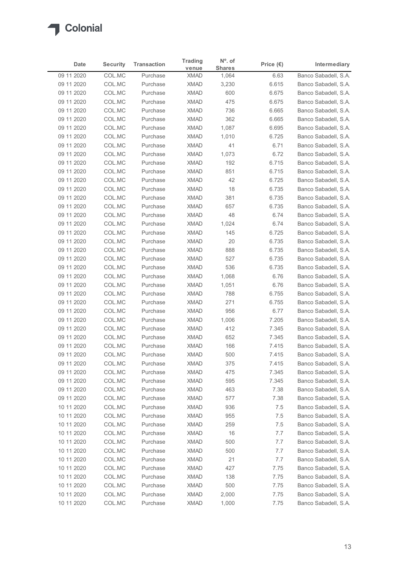

| 09 11 2020<br>09 11 2020<br>09 11 2020<br>09 11 2020<br>09 11 2020<br>09 11 2020<br>09 11 2020<br>09 11 2020<br>09 11 2020<br>09 11 2020 | COL.MC<br>COL.MC<br>COL.MC<br>COL.MC | Purchase<br>Purchase | venue                      | <b>Shares</b>  | Price $(\epsilon)$ | Intermediary                                 |
|------------------------------------------------------------------------------------------------------------------------------------------|--------------------------------------|----------------------|----------------------------|----------------|--------------------|----------------------------------------------|
|                                                                                                                                          |                                      |                      | <b>XMAD</b>                | 1,064          | 6.63               | Banco Sabadell, S.A.                         |
|                                                                                                                                          |                                      |                      | <b>XMAD</b>                | 3,230          | 6.615              | Banco Sabadell, S.A.                         |
|                                                                                                                                          |                                      | Purchase             | <b>XMAD</b>                | 600            | 6.675              | Banco Sabadell, S.A.                         |
|                                                                                                                                          |                                      | Purchase             | <b>XMAD</b>                | 475            | 6.675              | Banco Sabadell, S.A.                         |
|                                                                                                                                          | COL.MC                               | Purchase             | <b>XMAD</b>                | 736            | 6.665              | Banco Sabadell, S.A.                         |
|                                                                                                                                          | COL.MC<br>COL.MC                     | Purchase<br>Purchase | <b>XMAD</b><br><b>XMAD</b> | 362<br>1,087   | 6.665<br>6.695     | Banco Sabadell, S.A.<br>Banco Sabadell, S.A. |
|                                                                                                                                          | COL.MC                               | Purchase             | <b>XMAD</b>                | 1,010          | 6.725              | Banco Sabadell, S.A.                         |
|                                                                                                                                          | COL.MC                               | Purchase             | <b>XMAD</b>                | 41             | 6.71               | Banco Sabadell, S.A.                         |
|                                                                                                                                          | COL.MC                               | Purchase             | <b>XMAD</b>                | 1,073          | 6.72               | Banco Sabadell, S.A.                         |
| 09 11 2020                                                                                                                               | COL.MC                               | Purchase             | <b>XMAD</b>                | 192            | 6.715              | Banco Sabadell, S.A.                         |
| 09 11 2020                                                                                                                               | COL.MC                               | Purchase             | <b>XMAD</b>                | 851            | 6.715              | Banco Sabadell, S.A.                         |
| 09 11 2020                                                                                                                               | COL.MC                               | Purchase             | <b>XMAD</b>                | 42             | 6.725              | Banco Sabadell, S.A.                         |
| 09 11 2020                                                                                                                               | COL.MC                               | Purchase             | XMAD                       | 18             | 6.735              | Banco Sabadell, S.A.                         |
| 09 11 2020                                                                                                                               | COL.MC<br>COL.MC                     | Purchase<br>Purchase | <b>XMAD</b><br><b>XMAD</b> | 381<br>657     | 6.735<br>6.735     | Banco Sabadell, S.A.                         |
| 09 11 2020<br>09 11 2020                                                                                                                 | COL.MC                               | Purchase             | XMAD                       | 48             | 6.74               | Banco Sabadell, S.A.<br>Banco Sabadell, S.A. |
| 09 11 2020                                                                                                                               | COL.MC                               | Purchase             | XMAD                       | 1,024          | 6.74               | Banco Sabadell, S.A.                         |
| 09 11 2020                                                                                                                               | COL.MC                               | Purchase             | <b>XMAD</b>                | 145            | 6.725              | Banco Sabadell, S.A.                         |
| 09 11 2020                                                                                                                               | COL.MC                               | Purchase             | <b>XMAD</b>                | 20             | 6.735              | Banco Sabadell, S.A.                         |
| 09 11 2020                                                                                                                               | COL.MC                               | Purchase             | <b>XMAD</b>                | 888            | 6.735              | Banco Sabadell, S.A.                         |
| 09 11 2020                                                                                                                               | COL.MC                               | Purchase             | <b>XMAD</b>                | 527            | 6.735              | Banco Sabadell, S.A.                         |
| 09 11 2020                                                                                                                               | COL.MC                               | Purchase             | XMAD                       | 536            | 6.735              | Banco Sabadell, S.A.                         |
| 09 11 2020                                                                                                                               | COL.MC                               | Purchase             | XMAD                       | 1,068          | 6.76               | Banco Sabadell, S.A.                         |
| 09 11 2020                                                                                                                               | COL.MC                               | Purchase             | <b>XMAD</b>                | 1,051          | 6.76               | Banco Sabadell, S.A.                         |
| 09 11 2020<br>09 11 2020                                                                                                                 | COL.MC<br>COL.MC                     | Purchase<br>Purchase | <b>XMAD</b><br><b>XMAD</b> | 788<br>271     | 6.755<br>6.755     | Banco Sabadell, S.A.<br>Banco Sabadell, S.A. |
| 09 11 2020                                                                                                                               | COL.MC                               | Purchase             | XMAD                       | 956            | 6.77               | Banco Sabadell, S.A.                         |
| 09 11 2020                                                                                                                               | COL.MC                               | Purchase             | <b>XMAD</b>                | 1,006          | 7.205              | Banco Sabadell, S.A.                         |
| 09 11 2020                                                                                                                               | COL.MC                               | Purchase             | <b>XMAD</b>                | 412            | 7.345              | Banco Sabadell, S.A.                         |
| 09 11 2020                                                                                                                               | COL.MC                               | Purchase             | <b>XMAD</b>                | 652            | 7.345              | Banco Sabadell, S.A.                         |
| 09 11 2020                                                                                                                               | COL.MC                               | Purchase             | <b>XMAD</b>                | 166            | 7.415              | Banco Sabadell, S.A.                         |
| 09 11 2020                                                                                                                               | COL.MC                               | Purchase             | <b>XMAD</b>                | 500            | 7.415              | Banco Sabadell, S.A.                         |
| 09 11 2020                                                                                                                               | COL.MC                               | Purchase             | <b>XMAD</b>                | 375            | 7.415              | Banco Sabadell, S.A.                         |
| 09 11 2020                                                                                                                               | COL.MC                               | Purchase             | XMAD                       | 475            | 7.345              | Banco Sabadell, S.A.                         |
| 09 11 2020                                                                                                                               | COL.MC                               | Purchase             | <b>XMAD</b>                | 595            | 7.345              | Banco Sabadell, S.A.                         |
| 09 11 2020<br>09 11 2020                                                                                                                 | COL.MC<br>COL.MC                     | Purchase<br>Purchase | <b>XMAD</b><br><b>XMAD</b> | 463<br>577     | 7.38<br>7.38       | Banco Sabadell, S.A.<br>Banco Sabadell, S.A. |
| 10 11 2020                                                                                                                               | COL.MC                               | Purchase             | <b>XMAD</b>                | 936            | 7.5                | Banco Sabadell, S.A.                         |
| 10 11 2020                                                                                                                               | COL.MC                               | Purchase             | <b>XMAD</b>                | 955            | 7.5                | Banco Sabadell, S.A.                         |
| 10 11 2020                                                                                                                               | COL.MC                               | Purchase             | <b>XMAD</b>                | 259            | 7.5                | Banco Sabadell, S.A.                         |
| 10 11 2020                                                                                                                               | COL.MC                               | Purchase             | <b>XMAD</b>                | 16             | 7.7                | Banco Sabadell, S.A.                         |
| 10 11 2020                                                                                                                               | COL.MC                               | Purchase             | <b>XMAD</b>                | 500            | 7.7                | Banco Sabadell, S.A.                         |
| 10 11 2020                                                                                                                               | COL.MC                               | Purchase             | <b>XMAD</b>                | 500            | 7.7                | Banco Sabadell, S.A.                         |
| 10 11 2020                                                                                                                               | COL.MC                               | Purchase             | <b>XMAD</b>                | 21             | 7.7                | Banco Sabadell, S.A.                         |
| 10 11 2020                                                                                                                               | COL.MC                               | Purchase             | XMAD                       | 427            | 7.75               | Banco Sabadell, S.A.                         |
| 10 11 2020                                                                                                                               | COL.MC                               | Purchase             | <b>XMAD</b>                | 138            | 7.75               | Banco Sabadell, S.A.                         |
| 10 11 2020                                                                                                                               | COL.MC                               | Purchase             | <b>XMAD</b>                | 500            | 7.75               | Banco Sabadell, S.A.                         |
| 10 11 2020<br>10 11 2020                                                                                                                 | COL.MC<br>COL.MC                     | Purchase<br>Purchase | <b>XMAD</b><br><b>XMAD</b> | 2,000<br>1,000 | 7.75<br>7.75       | Banco Sabadell, S.A.<br>Banco Sabadell, S.A. |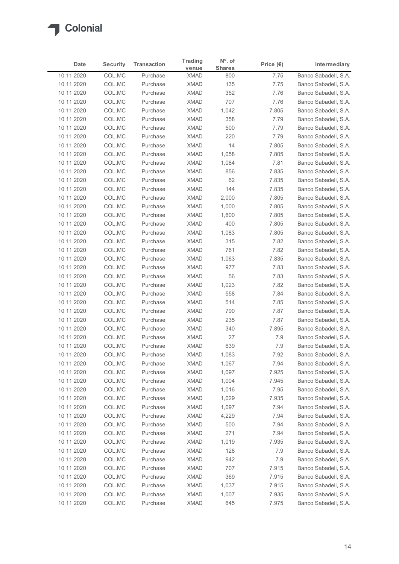| Date                     | <b>Security</b>  | <b>Transaction</b>   | <b>Trading</b>             | $N^{\circ}$ . of     | Price $(\epsilon)$ | Intermediary                                 |
|--------------------------|------------------|----------------------|----------------------------|----------------------|--------------------|----------------------------------------------|
| 10 11 2020               | COL.MC           | Purchase             | venue<br><b>XMAD</b>       | <b>Shares</b><br>800 | 7.75               | Banco Sabadell, S.A.                         |
| 10 11 2020               | COL.MC           | Purchase             | <b>XMAD</b>                | 135                  | 7.75               | Banco Sabadell, S.A.                         |
| 10 11 2020               | COL.MC           | Purchase             | <b>XMAD</b>                | 352                  | 7.76               | Banco Sabadell, S.A.                         |
| 10 11 2020               | COL.MC           | Purchase             | <b>XMAD</b>                | 707                  | 7.76               | Banco Sabadell, S.A.                         |
| 10 11 2020               | COL.MC           | Purchase             | <b>XMAD</b>                | 1,042                | 7.805              | Banco Sabadell, S.A.                         |
| 10 11 2020               | COL.MC           | Purchase             | <b>XMAD</b>                | 358                  | 7.79               | Banco Sabadell, S.A.                         |
| 10 11 2020               | COL.MC           | Purchase             | <b>XMAD</b>                | 500                  | 7.79               | Banco Sabadell, S.A.                         |
| 10 11 2020<br>10 11 2020 | COL.MC<br>COL.MC | Purchase<br>Purchase | <b>XMAD</b><br><b>XMAD</b> | 220<br>14            | 7.79<br>7.805      | Banco Sabadell, S.A.<br>Banco Sabadell, S.A. |
| 10 11 2020               | COL.MC           | Purchase             | <b>XMAD</b>                | 1,058                | 7.805              | Banco Sabadell, S.A.                         |
| 10 11 2020               | COL.MC           | Purchase             | <b>XMAD</b>                | 1,084                | 7.81               | Banco Sabadell, S.A.                         |
| 10 11 2020               | COL.MC           | Purchase             | <b>XMAD</b>                | 856                  | 7.835              | Banco Sabadell, S.A.                         |
| 10 11 2020               | COL.MC           | Purchase             | <b>XMAD</b>                | 62                   | 7.835              | Banco Sabadell, S.A.                         |
| 10 11 2020               | COL.MC           | Purchase             | XMAD                       | 144                  | 7.835              | Banco Sabadell, S.A.                         |
| 10 11 2020               | COL.MC           | Purchase             | <b>XMAD</b>                | 2,000                | 7.805              | Banco Sabadell, S.A.                         |
| 10 11 2020               | COL.MC           | Purchase             | XMAD                       | 1,000                | 7.805              | Banco Sabadell, S.A.                         |
| 10 11 2020<br>10 11 2020 | COL.MC<br>COL.MC | Purchase<br>Purchase | <b>XMAD</b><br><b>XMAD</b> | 1,600<br>400         | 7.805<br>7.805     | Banco Sabadell, S.A.<br>Banco Sabadell, S.A. |
| 10 11 2020               | COL.MC           | Purchase             | <b>XMAD</b>                | 1,083                | 7.805              | Banco Sabadell, S.A.                         |
| 10 11 2020               | COL.MC           | Purchase             | <b>XMAD</b>                | 315                  | 7.82               | Banco Sabadell, S.A.                         |
| 10 11 2020               | COL.MC           | Purchase             | <b>XMAD</b>                | 761                  | 7.82               | Banco Sabadell, S.A.                         |
| 10 11 2020               | COL.MC           | Purchase             | XMAD                       | 1,063                | 7.835              | Banco Sabadell, S.A.                         |
| 10 11 2020               | COL.MC           | Purchase             | <b>XMAD</b>                | 977                  | 7.83               | Banco Sabadell, S.A.                         |
| 10 11 2020               | COL.MC           | Purchase             | <b>XMAD</b>                | 56                   | 7.83               | Banco Sabadell, S.A.                         |
| 10 11 2020               | COL.MC           | Purchase             | <b>XMAD</b>                | 1,023                | 7.82               | Banco Sabadell, S.A.                         |
| 10 11 2020               | COL.MC           | Purchase             | <b>XMAD</b>                | 558                  | 7.84               | Banco Sabadell, S.A.                         |
| 10 11 2020               | COL.MC           | Purchase<br>Purchase | <b>XMAD</b><br><b>XMAD</b> | 514<br>790           | 7.85<br>7.87       | Banco Sabadell, S.A.                         |
| 10 11 2020<br>10 11 2020 | COL.MC<br>COL.MC | Purchase             | <b>XMAD</b>                | 235                  | 7.87               | Banco Sabadell, S.A.<br>Banco Sabadell, S.A. |
| 10 11 2020               | COL.MC           | Purchase             | <b>XMAD</b>                | 340                  | 7.895              | Banco Sabadell, S.A.                         |
| 10 11 2020               | COL.MC           | Purchase             | <b>XMAD</b>                | 27                   | 7.9                | Banco Sabadell, S.A.                         |
| 10 11 2020               | COL.MC           | Purchase             | <b>XMAD</b>                | 639                  | 7.9                | Banco Sabadell, S.A.                         |
| 10 11 2020               | COL.MC           | Purchase             | <b>XMAD</b>                | 1,083                | 7.92               | Banco Sabadell, S.A.                         |
| 10 11 2020               | COL.MC           | Purchase             | <b>XMAD</b>                | 1,067                | 7.94               | Banco Sabadell, S.A.                         |
| 10 11 2020               | COL.MC           | Purchase             | XMAD                       | 1,097                | 7.925              | Banco Sabadell, S.A.                         |
| 10 11 2020               | COL.MC           | Purchase             | <b>XMAD</b>                | 1,004                | 7.945              | Banco Sabadell, S.A.                         |
| 10 11 2020               | COL.MC           | Purchase             | <b>XMAD</b>                | 1,016                | 7.95               | Banco Sabadell, S.A.                         |
| 10 11 2020<br>10 11 2020 | COL.MC<br>COL.MC | Purchase<br>Purchase | <b>XMAD</b><br>XMAD        | 1,029<br>1,097       | 7.935<br>7.94      | Banco Sabadell, S.A.<br>Banco Sabadell, S.A. |
| 10 11 2020               | COL.MC           | Purchase             | <b>XMAD</b>                | 4,229                | 7.94               | Banco Sabadell, S.A.                         |
| 10 11 2020               | COL.MC           | Purchase             | <b>XMAD</b>                | 500                  | 7.94               | Banco Sabadell, S.A.                         |
| 10 11 2020               | COL.MC           | Purchase             | <b>XMAD</b>                | 271                  | 7.94               | Banco Sabadell, S.A.                         |
| 10 11 2020               | COL.MC           | Purchase             | <b>XMAD</b>                | 1,019                | 7.935              | Banco Sabadell, S.A.                         |
| 10 11 2020               | COL.MC           | Purchase             | <b>XMAD</b>                | 128                  | 7.9                | Banco Sabadell, S.A.                         |
| 10 11 2020               | COL.MC           | Purchase             | XMAD                       | 942                  | 7.9                | Banco Sabadell, S.A.                         |
| 10 11 2020               | COL.MC           | Purchase             | <b>XMAD</b>                | 707                  | 7.915              | Banco Sabadell, S.A.                         |
| 10 11 2020               | COL.MC           | Purchase             | <b>XMAD</b>                | 369                  | 7.915              | Banco Sabadell, S.A.                         |
| 10 11 2020               | COL.MC<br>COL.MC | Purchase             | <b>XMAD</b>                | 1,037                | 7.915              | Banco Sabadell, S.A.                         |
| 10 11 2020               |                  | Purchase             | <b>XMAD</b>                | 1,007                | 7.935              | Banco Sabadell, S.A.                         |